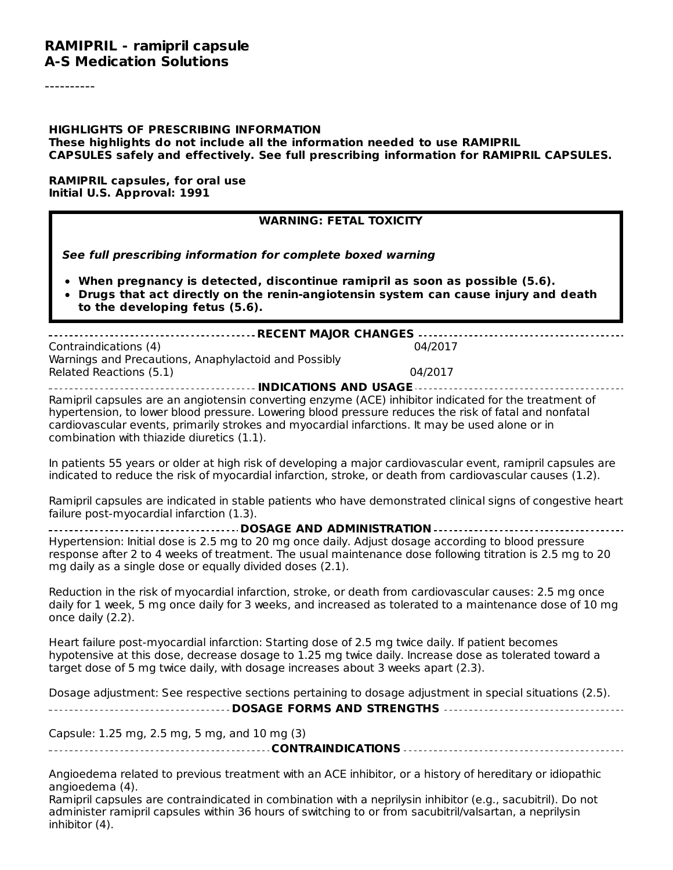#### **RAMIPRIL - ramipril capsule A-S Medication Solutions**

#### **HIGHLIGHTS OF PRESCRIBING INFORMATION These highlights do not include all the information needed to use RAMIPRIL CAPSULES safely and effectively. See full prescribing information for RAMIPRIL CAPSULES.**

#### **RAMIPRIL capsules, for oral use Initial U.S. Approval: 1991**

#### **WARNING: FETAL TOXICITY**

**See full prescribing information for complete boxed warning**

- **When pregnancy is detected, discontinue ramipril as soon as possible (5.6).**
- **Drugs that act directly on the renin-angiotensin system can cause injury and death to the developing fetus (5.6).**

| Contraindications (4)<br>Warnings and Precautions, Anaphylactoid and Possibly | 04/2017 |
|-------------------------------------------------------------------------------|---------|
| Related Reactions (5.1)                                                       | 04/2017 |
|                                                                               |         |

Ramipril capsules are an angiotensin converting enzyme (ACE) inhibitor indicated for the treatment of hypertension, to lower blood pressure. Lowering blood pressure reduces the risk of fatal and nonfatal cardiovascular events, primarily strokes and myocardial infarctions. It may be used alone or in combination with thiazide diuretics (1.1).

In patients 55 years or older at high risk of developing a major cardiovascular event, ramipril capsules are indicated to reduce the risk of myocardial infarction, stroke, or death from cardiovascular causes (1.2).

Ramipril capsules are indicated in stable patients who have demonstrated clinical signs of congestive heart failure post-myocardial infarction (1.3).

**DOSAGE AND ADMINISTRATION** Hypertension: Initial dose is 2.5 mg to 20 mg once daily. Adjust dosage according to blood pressure response after 2 to 4 weeks of treatment. The usual maintenance dose following titration is 2.5 mg to 20 mg daily as a single dose or equally divided doses (2.1).

Reduction in the risk of myocardial infarction, stroke, or death from cardiovascular causes: 2.5 mg once daily for 1 week, 5 mg once daily for 3 weeks, and increased as tolerated to a maintenance dose of 10 mg once daily (2.2).

Heart failure post-myocardial infarction: Starting dose of 2.5 mg twice daily. If patient becomes hypotensive at this dose, decrease dosage to 1.25 mg twice daily. Increase dose as tolerated toward a target dose of 5 mg twice daily, with dosage increases about 3 weeks apart (2.3).

Dosage adjustment: See respective sections pertaining to dosage adjustment in special situations (2.5). **DOSAGE FORMS AND STRENGTHS**

Capsule: 1.25 mg, 2.5 mg, 5 mg, and 10 mg (3)

**CONTRAINDICATIONS**

Angioedema related to previous treatment with an ACE inhibitor, or a history of hereditary or idiopathic angioedema (4).

Ramipril capsules are contraindicated in combination with a neprilysin inhibitor (e.g., sacubitril). Do not administer ramipril capsules within 36 hours of switching to or from sacubitril/valsartan, a neprilysin inhibitor (4).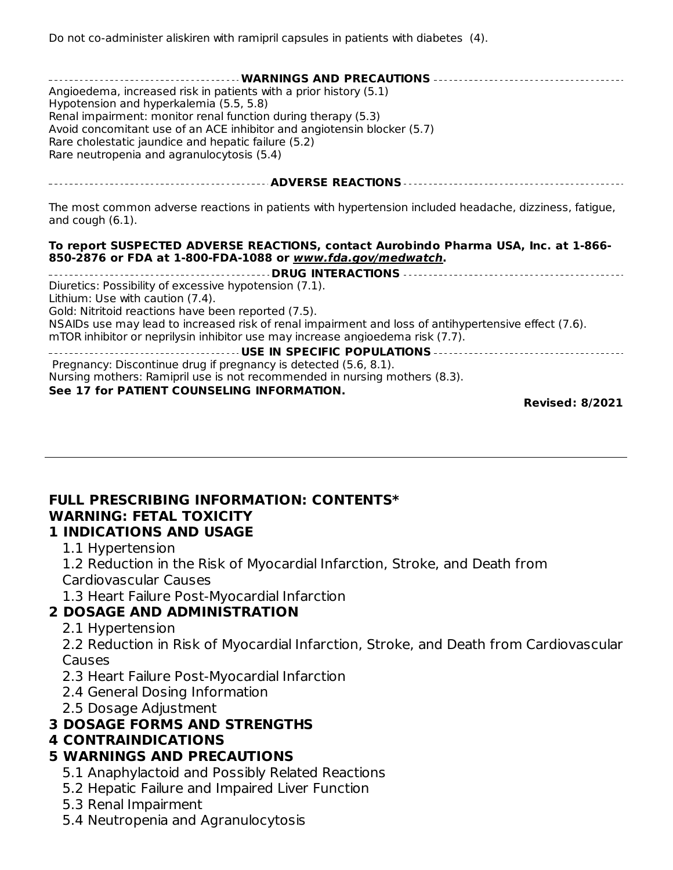| -------------------------- WARNINGS AND PRECAUTIONS ----------------------------------<br>Angioedema, increased risk in patients with a prior history (5.1)<br>Hypotension and hyperkalemia (5.5, 5.8)<br>Renal impairment: monitor renal function during therapy (5.3)<br>Avoid concomitant use of an ACE inhibitor and angiotensin blocker (5.7)<br>Rare cholestatic jaundice and hepatic failure (5.2)<br>Rare neutropenia and agranulocytosis (5.4) |
|---------------------------------------------------------------------------------------------------------------------------------------------------------------------------------------------------------------------------------------------------------------------------------------------------------------------------------------------------------------------------------------------------------------------------------------------------------|
|                                                                                                                                                                                                                                                                                                                                                                                                                                                         |
| The most common adverse reactions in patients with hypertension included headache, dizziness, fatigue,<br>and cough $(6.1)$ .                                                                                                                                                                                                                                                                                                                           |
| To report SUSPECTED ADVERSE REACTIONS, contact Aurobindo Pharma USA, Inc. at 1-866-<br>850-2876 or FDA at 1-800-FDA-1088 or www.fda.gov/medwatch.                                                                                                                                                                                                                                                                                                       |
|                                                                                                                                                                                                                                                                                                                                                                                                                                                         |
| Diuretics: Possibility of excessive hypotension (7.1).<br>Lithium: Use with caution (7.4).                                                                                                                                                                                                                                                                                                                                                              |
| Gold: Nitritoid reactions have been reported (7.5).                                                                                                                                                                                                                                                                                                                                                                                                     |
| NSAIDs use may lead to increased risk of renal impairment and loss of antihypertensive effect (7.6).                                                                                                                                                                                                                                                                                                                                                    |
| mTOR inhibitor or neprilysin inhibitor use may increase angioedema risk (7.7).                                                                                                                                                                                                                                                                                                                                                                          |
| Pregnancy: Discontinue drug if pregnancy is detected (5.6, 8.1).                                                                                                                                                                                                                                                                                                                                                                                        |
| Nursing mothers: Ramipril use is not recommended in nursing mothers (8.3).                                                                                                                                                                                                                                                                                                                                                                              |
|                                                                                                                                                                                                                                                                                                                                                                                                                                                         |

#### **See 17 for PATIENT COUNSELING INFORMATION.**

**Revised: 8/2021**

### **FULL PRESCRIBING INFORMATION: CONTENTS\* WARNING: FETAL TOXICITY**

#### **1 INDICATIONS AND USAGE**

1.1 Hypertension

1.2 Reduction in the Risk of Myocardial Infarction, Stroke, and Death from

Cardiovascular Causes

1.3 Heart Failure Post-Myocardial Infarction

#### **2 DOSAGE AND ADMINISTRATION**

2.1 Hypertension

2.2 Reduction in Risk of Myocardial Infarction, Stroke, and Death from Cardiovascular Causes

- 2.3 Heart Failure Post-Myocardial Infarction
- 2.4 General Dosing Information
- 2.5 Dosage Adjustment

#### **3 DOSAGE FORMS AND STRENGTHS**

#### **4 CONTRAINDICATIONS**

### **5 WARNINGS AND PRECAUTIONS**

- 5.1 Anaphylactoid and Possibly Related Reactions
- 5.2 Hepatic Failure and Impaired Liver Function
- 5.3 Renal Impairment
- 5.4 Neutropenia and Agranulocytosis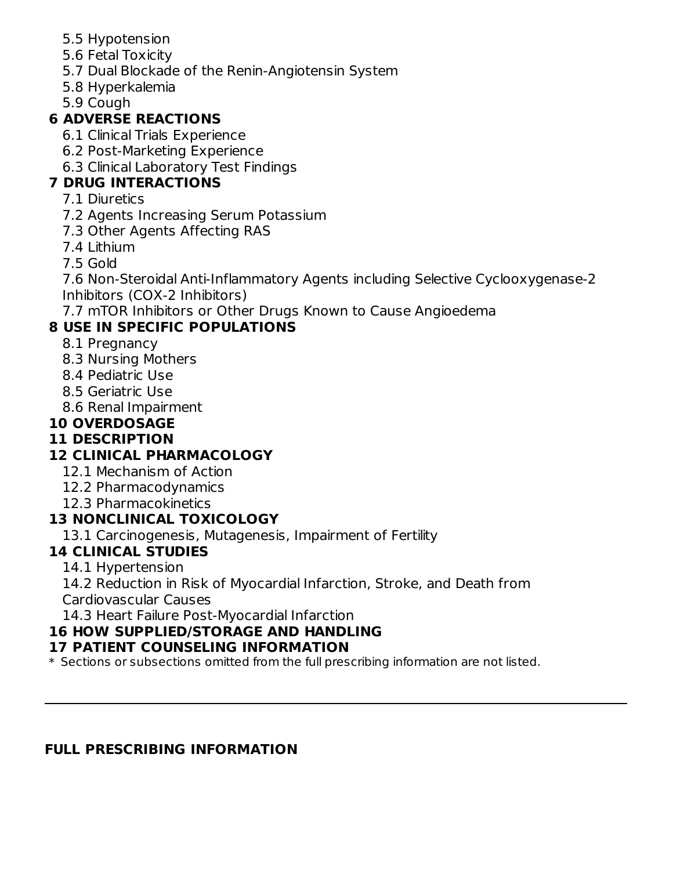- 5.5 Hypotension
- 5.6 Fetal Toxicity
- 5.7 Dual Blockade of the Renin-Angiotensin System
- 5.8 Hyperkalemia
- 5.9 Cough

# **6 ADVERSE REACTIONS**

- 6.1 Clinical Trials Experience
- 6.2 Post-Marketing Experience
- 6.3 Clinical Laboratory Test Findings

# **7 DRUG INTERACTIONS**

- 7.1 Diuretics
- 7.2 Agents Increasing Serum Potassium
- 7.3 Other Agents Affecting RAS
- 7.4 Lithium
- 7.5 Gold

7.6 Non-Steroidal Anti-Inflammatory Agents including Selective Cyclooxygenase-2 Inhibitors (COX-2 Inhibitors)

7.7 mTOR Inhibitors or Other Drugs Known to Cause Angioedema

# **8 USE IN SPECIFIC POPULATIONS**

- 8.1 Pregnancy
- 8.3 Nursing Mothers
- 8.4 Pediatric Use
- 8.5 Geriatric Use
- 8.6 Renal Impairment

# **10 OVERDOSAGE**

### **11 DESCRIPTION**

### **12 CLINICAL PHARMACOLOGY**

- 12.1 Mechanism of Action
- 12.2 Pharmacodynamics
- 12.3 Pharmacokinetics

### **13 NONCLINICAL TOXICOLOGY**

13.1 Carcinogenesis, Mutagenesis, Impairment of Fertility

### **14 CLINICAL STUDIES**

14.1 Hypertension

14.2 Reduction in Risk of Myocardial Infarction, Stroke, and Death from

Cardiovascular Causes

14.3 Heart Failure Post-Myocardial Infarction

### **16 HOW SUPPLIED/STORAGE AND HANDLING**

### **17 PATIENT COUNSELING INFORMATION**

\* Sections or subsections omitted from the full prescribing information are not listed.

### **FULL PRESCRIBING INFORMATION**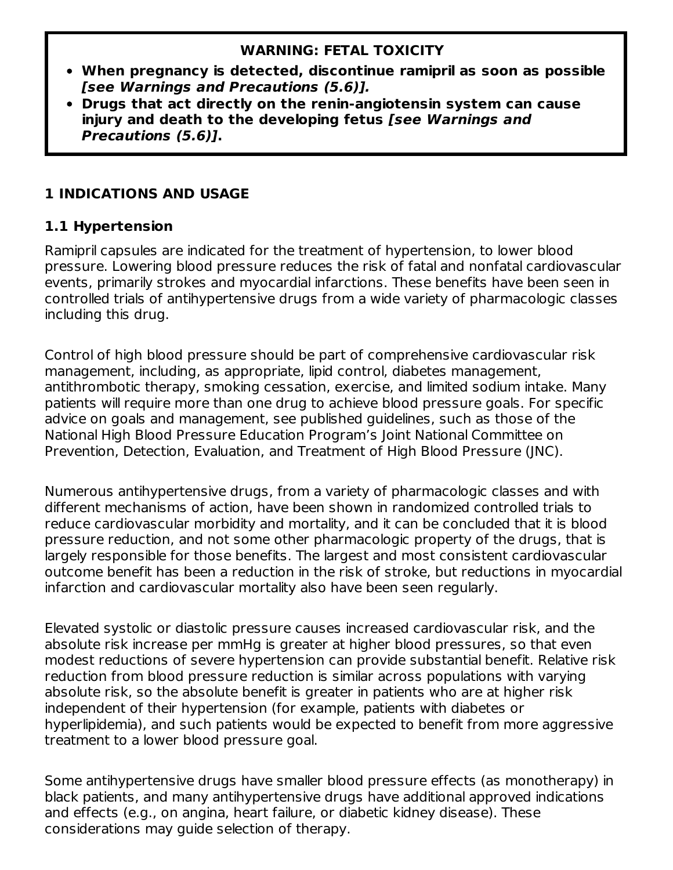#### **WARNING: FETAL TOXICITY**

- **When pregnancy is detected, discontinue ramipril as soon as possible [see Warnings and Precautions (5.6)].**
- **Drugs that act directly on the renin-angiotensin system can cause injury and death to the developing fetus [see Warnings and Precautions (5.6)].**

### **1 INDICATIONS AND USAGE**

### **1.1 Hypertension**

Ramipril capsules are indicated for the treatment of hypertension, to lower blood pressure. Lowering blood pressure reduces the risk of fatal and nonfatal cardiovascular events, primarily strokes and myocardial infarctions. These benefits have been seen in controlled trials of antihypertensive drugs from a wide variety of pharmacologic classes including this drug.

Control of high blood pressure should be part of comprehensive cardiovascular risk management, including, as appropriate, lipid control, diabetes management, antithrombotic therapy, smoking cessation, exercise, and limited sodium intake. Many patients will require more than one drug to achieve blood pressure goals. For specific advice on goals and management, see published guidelines, such as those of the National High Blood Pressure Education Program's Joint National Committee on Prevention, Detection, Evaluation, and Treatment of High Blood Pressure (JNC).

Numerous antihypertensive drugs, from a variety of pharmacologic classes and with different mechanisms of action, have been shown in randomized controlled trials to reduce cardiovascular morbidity and mortality, and it can be concluded that it is blood pressure reduction, and not some other pharmacologic property of the drugs, that is largely responsible for those benefits. The largest and most consistent cardiovascular outcome benefit has been a reduction in the risk of stroke, but reductions in myocardial infarction and cardiovascular mortality also have been seen regularly.

Elevated systolic or diastolic pressure causes increased cardiovascular risk, and the absolute risk increase per mmHg is greater at higher blood pressures, so that even modest reductions of severe hypertension can provide substantial benefit. Relative risk reduction from blood pressure reduction is similar across populations with varying absolute risk, so the absolute benefit is greater in patients who are at higher risk independent of their hypertension (for example, patients with diabetes or hyperlipidemia), and such patients would be expected to benefit from more aggressive treatment to a lower blood pressure goal.

Some antihypertensive drugs have smaller blood pressure effects (as monotherapy) in black patients, and many antihypertensive drugs have additional approved indications and effects (e.g., on angina, heart failure, or diabetic kidney disease). These considerations may guide selection of therapy.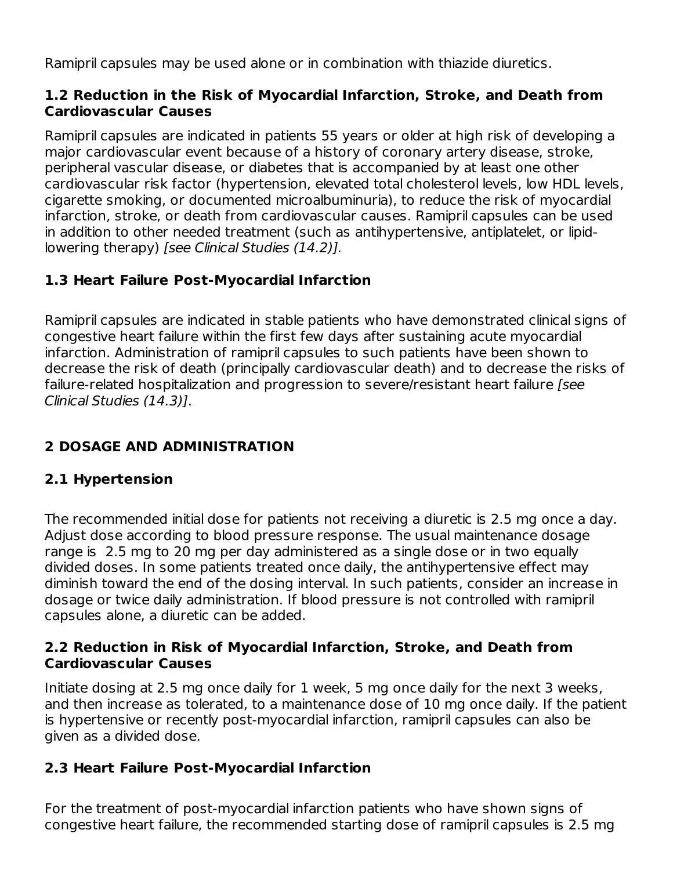Ramipril capsules may be used alone or in combination with thiazide diuretics.

#### **1.2 Reduction in the Risk of Myocardial Infarction, Stroke, and Death from Cardiovascular Causes**

Ramipril capsules are indicated in patients 55 years or older at high risk of developing a major cardiovascular event because of a history of coronary artery disease, stroke, peripheral vascular disease, or diabetes that is accompanied by at least one other cardiovascular risk factor (hypertension, elevated total cholesterol levels, low HDL levels, cigarette smoking, or documented microalbuminuria), to reduce the risk of myocardial infarction, stroke, or death from cardiovascular causes. Ramipril capsules can be used in addition to other needed treatment (such as antihypertensive, antiplatelet, or lipidlowering therapy) [see Clinical Studies (14.2)].

### **1.3 Heart Failure Post-Myocardial Infarction**

Ramipril capsules are indicated in stable patients who have demonstrated clinical signs of congestive heart failure within the first few days after sustaining acute myocardial infarction. Administration of ramipril capsules to such patients have been shown to decrease the risk of death (principally cardiovascular death) and to decrease the risks of failure-related hospitalization and progression to severe/resistant heart failure [see Clinical Studies (14.3)].

### **2 DOSAGE AND ADMINISTRATION**

### **2.1 Hypertension**

The recommended initial dose for patients not receiving a diuretic is 2.5 mg once a day. Adjust dose according to blood pressure response. The usual maintenance dosage range is 2.5 mg to 20 mg per day administered as a single dose or in two equally divided doses. In some patients treated once daily, the antihypertensive effect may diminish toward the end of the dosing interval. In such patients, consider an increase in dosage or twice daily administration. If blood pressure is not controlled with ramipril capsules alone, a diuretic can be added.

#### **2.2 Reduction in Risk of Myocardial Infarction, Stroke, and Death from Cardiovascular Causes**

Initiate dosing at 2.5 mg once daily for 1 week, 5 mg once daily for the next 3 weeks, and then increase as tolerated, to a maintenance dose of 10 mg once daily. If the patient is hypertensive or recently post-myocardial infarction, ramipril capsules can also be given as a divided dose.

#### **2.3 Heart Failure Post-Myocardial Infarction**

For the treatment of post-myocardial infarction patients who have shown signs of congestive heart failure, the recommended starting dose of ramipril capsules is 2.5 mg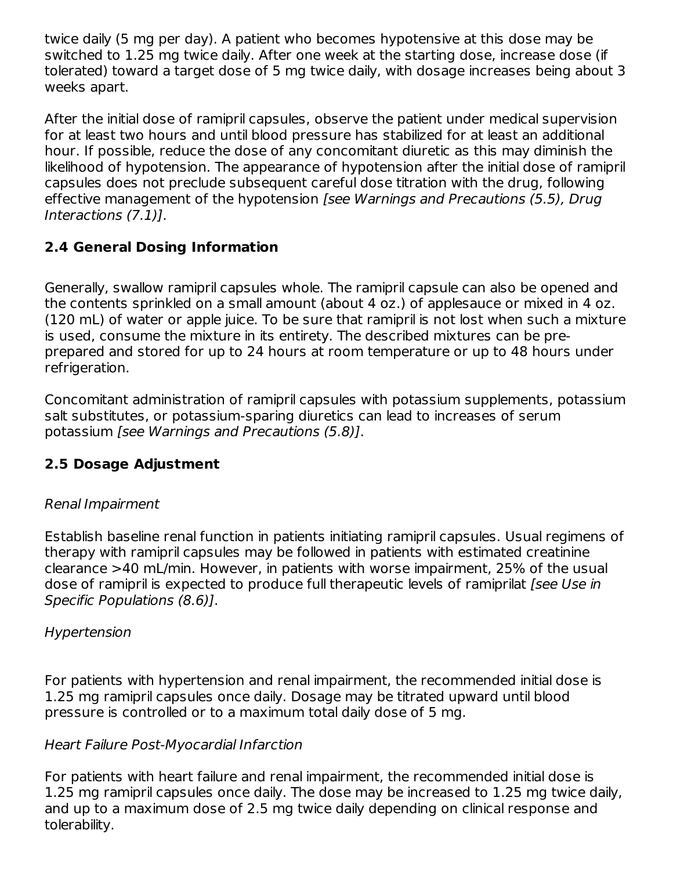twice daily (5 mg per day). A patient who becomes hypotensive at this dose may be switched to 1.25 mg twice daily. After one week at the starting dose, increase dose (if tolerated) toward a target dose of 5 mg twice daily, with dosage increases being about 3 weeks apart.

After the initial dose of ramipril capsules, observe the patient under medical supervision for at least two hours and until blood pressure has stabilized for at least an additional hour. If possible, reduce the dose of any concomitant diuretic as this may diminish the likelihood of hypotension. The appearance of hypotension after the initial dose of ramipril capsules does not preclude subsequent careful dose titration with the drug, following effective management of the hypotension [see Warnings and Precautions (5.5), Drug Interactions (7.1)].

### **2.4 General Dosing Information**

Generally, swallow ramipril capsules whole. The ramipril capsule can also be opened and the contents sprinkled on a small amount (about 4 oz.) of applesauce or mixed in 4 oz. (120 mL) of water or apple juice. To be sure that ramipril is not lost when such a mixture is used, consume the mixture in its entirety. The described mixtures can be preprepared and stored for up to 24 hours at room temperature or up to 48 hours under refrigeration.

Concomitant administration of ramipril capsules with potassium supplements, potassium salt substitutes, or potassium-sparing diuretics can lead to increases of serum potassium [see Warnings and Precautions (5.8)].

### **2.5 Dosage Adjustment**

### Renal Impairment

Establish baseline renal function in patients initiating ramipril capsules. Usual regimens of therapy with ramipril capsules may be followed in patients with estimated creatinine clearance >40 mL/min. However, in patients with worse impairment, 25% of the usual dose of ramipril is expected to produce full therapeutic levels of ramiprilat *[see Use in* Specific Populations (8.6)].

### Hypertension

For patients with hypertension and renal impairment, the recommended initial dose is 1.25 mg ramipril capsules once daily. Dosage may be titrated upward until blood pressure is controlled or to a maximum total daily dose of 5 mg.

### Heart Failure Post-Myocardial Infarction

For patients with heart failure and renal impairment, the recommended initial dose is 1.25 mg ramipril capsules once daily. The dose may be increased to 1.25 mg twice daily, and up to a maximum dose of 2.5 mg twice daily depending on clinical response and tolerability.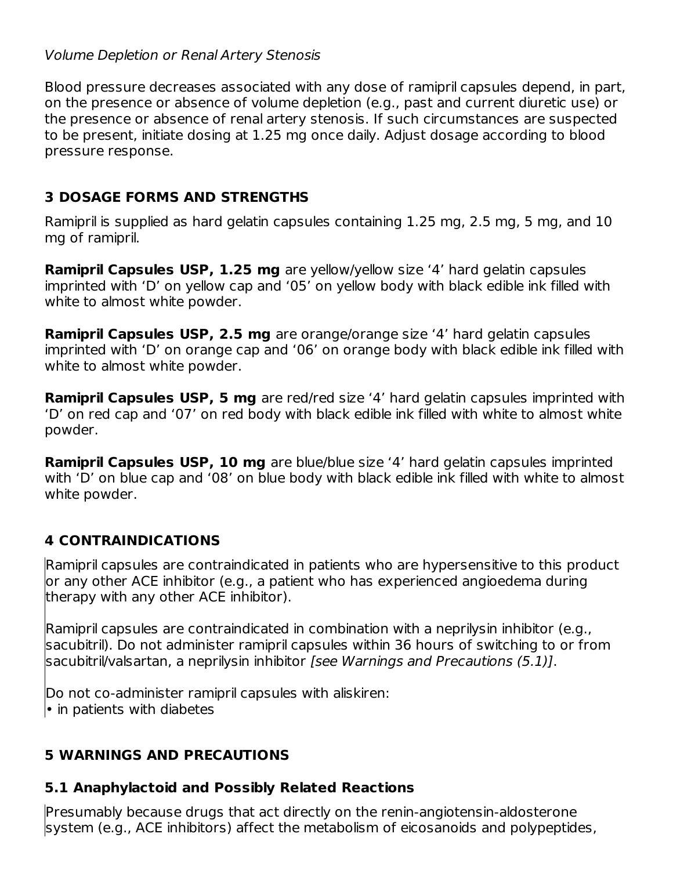#### Volume Depletion or Renal Artery Stenosis

Blood pressure decreases associated with any dose of ramipril capsules depend, in part, on the presence or absence of volume depletion (e.g., past and current diuretic use) or the presence or absence of renal artery stenosis. If such circumstances are suspected to be present, initiate dosing at 1.25 mg once daily. Adjust dosage according to blood pressure response.

### **3 DOSAGE FORMS AND STRENGTHS**

Ramipril is supplied as hard gelatin capsules containing 1.25 mg, 2.5 mg, 5 mg, and 10 mg of ramipril.

**Ramipril Capsules USP, 1.25 mg** are yellow/yellow size '4' hard gelatin capsules imprinted with 'D' on yellow cap and '05' on yellow body with black edible ink filled with white to almost white powder.

**Ramipril Capsules USP, 2.5 mg** are orange/orange size '4' hard gelatin capsules imprinted with 'D' on orange cap and '06' on orange body with black edible ink filled with white to almost white powder.

**Ramipril Capsules USP, 5 mg** are red/red size '4' hard gelatin capsules imprinted with 'D' on red cap and '07' on red body with black edible ink filled with white to almost white powder.

**Ramipril Capsules USP, 10 mg** are blue/blue size '4' hard gelatin capsules imprinted with 'D' on blue cap and '08' on blue body with black edible ink filled with white to almost white powder.

### **4 CONTRAINDICATIONS**

Ramipril capsules are contraindicated in patients who are hypersensitive to this product or any other ACE inhibitor (e.g., a patient who has experienced angioedema during therapy with any other ACE inhibitor).

Ramipril capsules are contraindicated in combination with a neprilysin inhibitor (e.g., sacubitril). Do not administer ramipril capsules within 36 hours of switching to or from sacubitril/valsartan, a neprilysin inhibitor [see Warnings and Precautions (5.1)].

Do not co-administer ramipril capsules with aliskiren: • in patients with diabetes

### **5 WARNINGS AND PRECAUTIONS**

### **5.1 Anaphylactoid and Possibly Related Reactions**

Presumably because drugs that act directly on the renin-angiotensin-aldosterone system (e.g., ACE inhibitors) affect the metabolism of eicosanoids and polypeptides,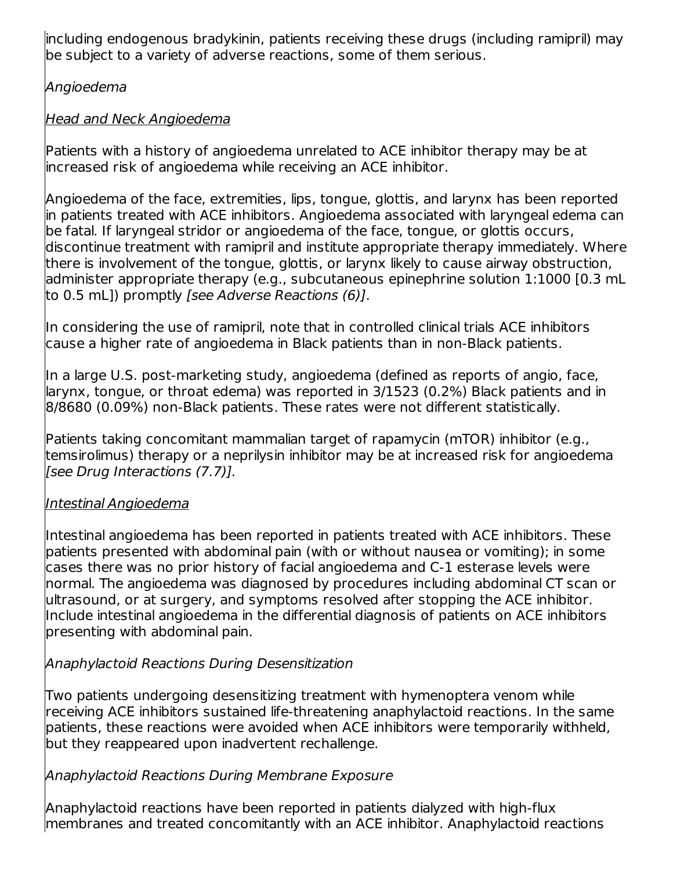including endogenous bradykinin, patients receiving these drugs (including ramipril) may be subject to a variety of adverse reactions, some of them serious.

Angioedema

### Head and Neck Angioedema

Patients with a history of angioedema unrelated to ACE inhibitor therapy may be at increased risk of angioedema while receiving an ACE inhibitor.

Angioedema of the face, extremities, lips, tongue, glottis, and larynx has been reported in patients treated with ACE inhibitors. Angioedema associated with laryngeal edema can be fatal. If laryngeal stridor or angioedema of the face, tongue, or glottis occurs, discontinue treatment with ramipril and institute appropriate therapy immediately. Where there is involvement of the tongue, glottis, or larynx likely to cause airway obstruction, administer appropriate therapy (e.g., subcutaneous epinephrine solution 1:1000 [0.3 mL to 0.5 mL]) promptly [see Adverse Reactions (6)].

In considering the use of ramipril, note that in controlled clinical trials ACE inhibitors cause a higher rate of angioedema in Black patients than in non-Black patients.

In a large U.S. post-marketing study, angioedema (defined as reports of angio, face, larynx, tongue, or throat edema) was reported in 3/1523 (0.2%) Black patients and in 8/8680 (0.09%) non-Black patients. These rates were not different statistically.

Patients taking concomitant mammalian target of rapamycin (mTOR) inhibitor (e.g., temsirolimus) therapy or a neprilysin inhibitor may be at increased risk for angioedema [see Drug Interactions (7.7)].

### Intestinal Angioedema

Intestinal angioedema has been reported in patients treated with ACE inhibitors. These patients presented with abdominal pain (with or without nausea or vomiting); in some cases there was no prior history of facial angioedema and C-1 esterase levels were normal. The angioedema was diagnosed by procedures including abdominal CT scan or ultrasound, or at surgery, and symptoms resolved after stopping the ACE inhibitor. Include intestinal angioedema in the differential diagnosis of patients on ACE inhibitors presenting with abdominal pain.

### Anaphylactoid Reactions During Desensitization

Two patients undergoing desensitizing treatment with hymenoptera venom while receiving ACE inhibitors sustained life-threatening anaphylactoid reactions. In the same patients, these reactions were avoided when ACE inhibitors were temporarily withheld, but they reappeared upon inadvertent rechallenge.

### Anaphylactoid Reactions During Membrane Exposure

Anaphylactoid reactions have been reported in patients dialyzed with high-flux membranes and treated concomitantly with an ACE inhibitor. Anaphylactoid reactions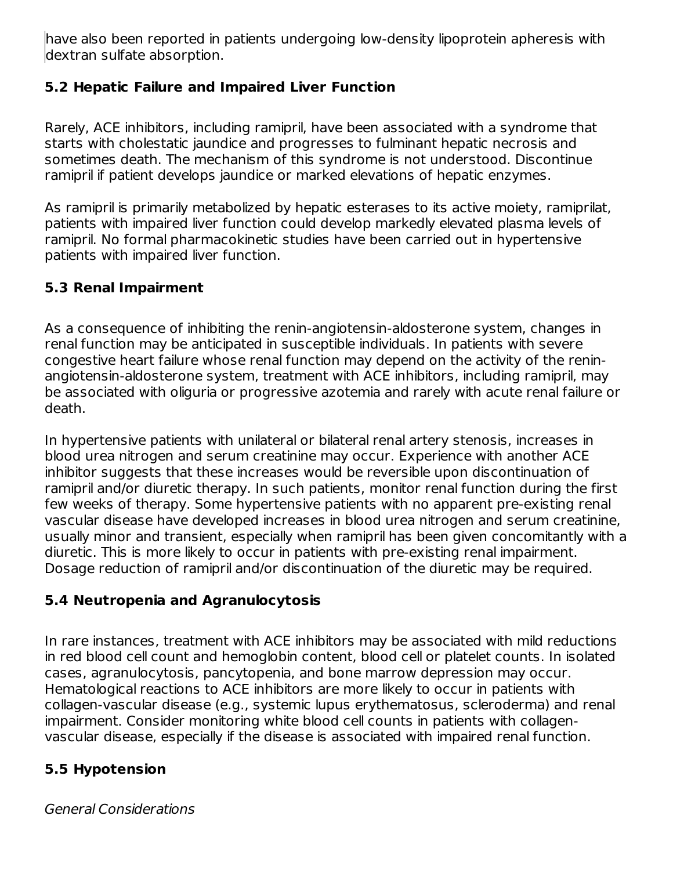have also been reported in patients undergoing low-density lipoprotein apheresis with dextran sulfate absorption.

### **5.2 Hepatic Failure and Impaired Liver Function**

Rarely, ACE inhibitors, including ramipril, have been associated with a syndrome that starts with cholestatic jaundice and progresses to fulminant hepatic necrosis and sometimes death. The mechanism of this syndrome is not understood. Discontinue ramipril if patient develops jaundice or marked elevations of hepatic enzymes.

As ramipril is primarily metabolized by hepatic esterases to its active moiety, ramiprilat, patients with impaired liver function could develop markedly elevated plasma levels of ramipril. No formal pharmacokinetic studies have been carried out in hypertensive patients with impaired liver function.

### **5.3 Renal Impairment**

As a consequence of inhibiting the renin-angiotensin-aldosterone system, changes in renal function may be anticipated in susceptible individuals. In patients with severe congestive heart failure whose renal function may depend on the activity of the reninangiotensin-aldosterone system, treatment with ACE inhibitors, including ramipril, may be associated with oliguria or progressive azotemia and rarely with acute renal failure or death.

In hypertensive patients with unilateral or bilateral renal artery stenosis, increases in blood urea nitrogen and serum creatinine may occur. Experience with another ACE inhibitor suggests that these increases would be reversible upon discontinuation of ramipril and/or diuretic therapy. In such patients, monitor renal function during the first few weeks of therapy. Some hypertensive patients with no apparent pre-existing renal vascular disease have developed increases in blood urea nitrogen and serum creatinine, usually minor and transient, especially when ramipril has been given concomitantly with a diuretic. This is more likely to occur in patients with pre-existing renal impairment. Dosage reduction of ramipril and/or discontinuation of the diuretic may be required.

### **5.4 Neutropenia and Agranulocytosis**

In rare instances, treatment with ACE inhibitors may be associated with mild reductions in red blood cell count and hemoglobin content, blood cell or platelet counts. In isolated cases, agranulocytosis, pancytopenia, and bone marrow depression may occur. Hematological reactions to ACE inhibitors are more likely to occur in patients with collagen-vascular disease (e.g., systemic lupus erythematosus, scleroderma) and renal impairment. Consider monitoring white blood cell counts in patients with collagenvascular disease, especially if the disease is associated with impaired renal function.

### **5.5 Hypotension**

General Considerations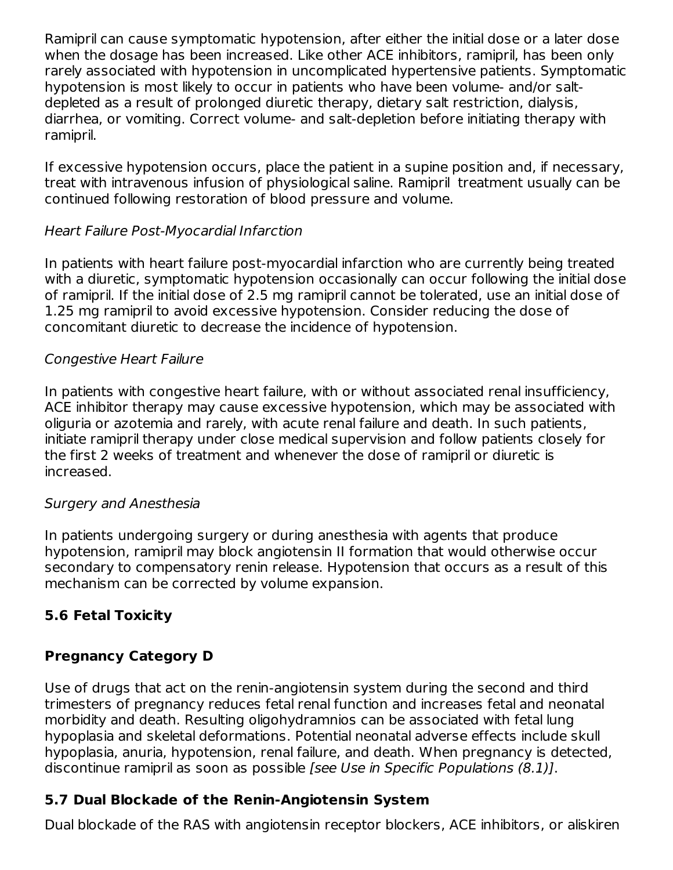Ramipril can cause symptomatic hypotension, after either the initial dose or a later dose when the dosage has been increased. Like other ACE inhibitors, ramipril, has been only rarely associated with hypotension in uncomplicated hypertensive patients. Symptomatic hypotension is most likely to occur in patients who have been volume- and/or saltdepleted as a result of prolonged diuretic therapy, dietary salt restriction, dialysis, diarrhea, or vomiting. Correct volume- and salt-depletion before initiating therapy with ramipril.

If excessive hypotension occurs, place the patient in a supine position and, if necessary, treat with intravenous infusion of physiological saline. Ramipril treatment usually can be continued following restoration of blood pressure and volume.

### Heart Failure Post-Myocardial Infarction

In patients with heart failure post-myocardial infarction who are currently being treated with a diuretic, symptomatic hypotension occasionally can occur following the initial dose of ramipril. If the initial dose of 2.5 mg ramipril cannot be tolerated, use an initial dose of 1.25 mg ramipril to avoid excessive hypotension. Consider reducing the dose of concomitant diuretic to decrease the incidence of hypotension.

#### Congestive Heart Failure

In patients with congestive heart failure, with or without associated renal insufficiency, ACE inhibitor therapy may cause excessive hypotension, which may be associated with oliguria or azotemia and rarely, with acute renal failure and death. In such patients, initiate ramipril therapy under close medical supervision and follow patients closely for the first 2 weeks of treatment and whenever the dose of ramipril or diuretic is increased.

#### Surgery and Anesthesia

In patients undergoing surgery or during anesthesia with agents that produce hypotension, ramipril may block angiotensin II formation that would otherwise occur secondary to compensatory renin release. Hypotension that occurs as a result of this mechanism can be corrected by volume expansion.

### **5.6 Fetal Toxicity**

### **Pregnancy Category D**

Use of drugs that act on the renin-angiotensin system during the second and third trimesters of pregnancy reduces fetal renal function and increases fetal and neonatal morbidity and death. Resulting oligohydramnios can be associated with fetal lung hypoplasia and skeletal deformations. Potential neonatal adverse effects include skull hypoplasia, anuria, hypotension, renal failure, and death. When pregnancy is detected, discontinue ramipril as soon as possible [see Use in Specific Populations (8.1)].

### **5.7 Dual Blockade of the Renin-Angiotensin System**

Dual blockade of the RAS with angiotensin receptor blockers, ACE inhibitors, or aliskiren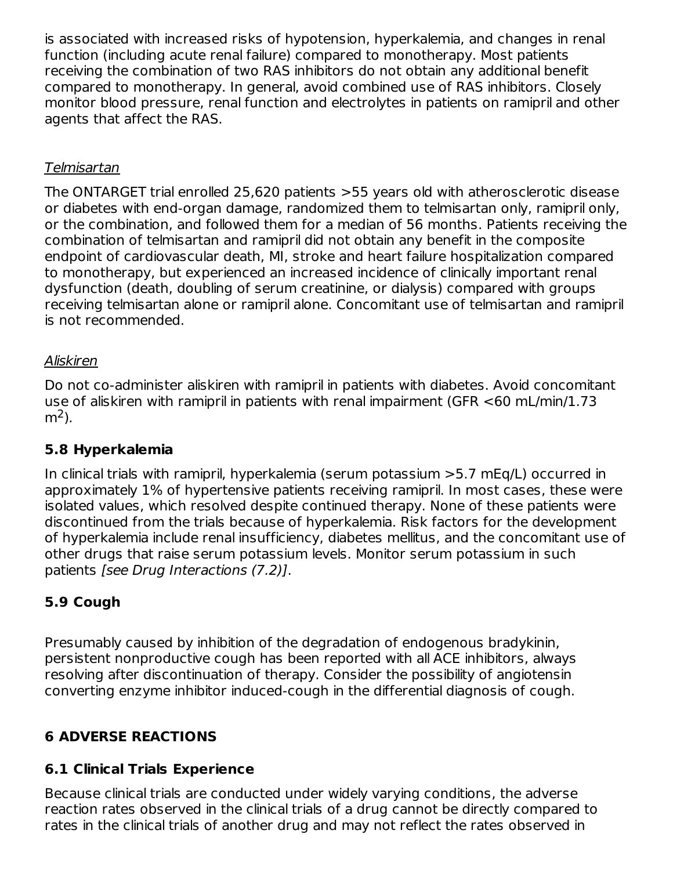is associated with increased risks of hypotension, hyperkalemia, and changes in renal function (including acute renal failure) compared to monotherapy. Most patients receiving the combination of two RAS inhibitors do not obtain any additional benefit compared to monotherapy. In general, avoid combined use of RAS inhibitors. Closely monitor blood pressure, renal function and electrolytes in patients on ramipril and other agents that affect the RAS.

### Telmisartan

The ONTARGET trial enrolled 25,620 patients >55 years old with atherosclerotic disease or diabetes with end-organ damage, randomized them to telmisartan only, ramipril only, or the combination, and followed them for a median of 56 months. Patients receiving the combination of telmisartan and ramipril did not obtain any benefit in the composite endpoint of cardiovascular death, MI, stroke and heart failure hospitalization compared to monotherapy, but experienced an increased incidence of clinically important renal dysfunction (death, doubling of serum creatinine, or dialysis) compared with groups receiving telmisartan alone or ramipril alone. Concomitant use of telmisartan and ramipril is not recommended.

### Aliskiren

Do not co-administer aliskiren with ramipril in patients with diabetes. Avoid concomitant use of aliskiren with ramipril in patients with renal impairment (GFR <60 mL/min/1.73 m<sup>2</sup>).

### **5.8 Hyperkalemia**

In clinical trials with ramipril, hyperkalemia (serum potassium >5.7 mEq/L) occurred in approximately 1% of hypertensive patients receiving ramipril. In most cases, these were isolated values, which resolved despite continued therapy. None of these patients were discontinued from the trials because of hyperkalemia. Risk factors for the development of hyperkalemia include renal insufficiency, diabetes mellitus, and the concomitant use of other drugs that raise serum potassium levels. Monitor serum potassium in such patients [see Drug Interactions (7.2)].

### **5.9 Cough**

Presumably caused by inhibition of the degradation of endogenous bradykinin, persistent nonproductive cough has been reported with all ACE inhibitors, always resolving after discontinuation of therapy. Consider the possibility of angiotensin converting enzyme inhibitor induced-cough in the differential diagnosis of cough.

### **6 ADVERSE REACTIONS**

### **6.1 Clinical Trials Experience**

Because clinical trials are conducted under widely varying conditions, the adverse reaction rates observed in the clinical trials of a drug cannot be directly compared to rates in the clinical trials of another drug and may not reflect the rates observed in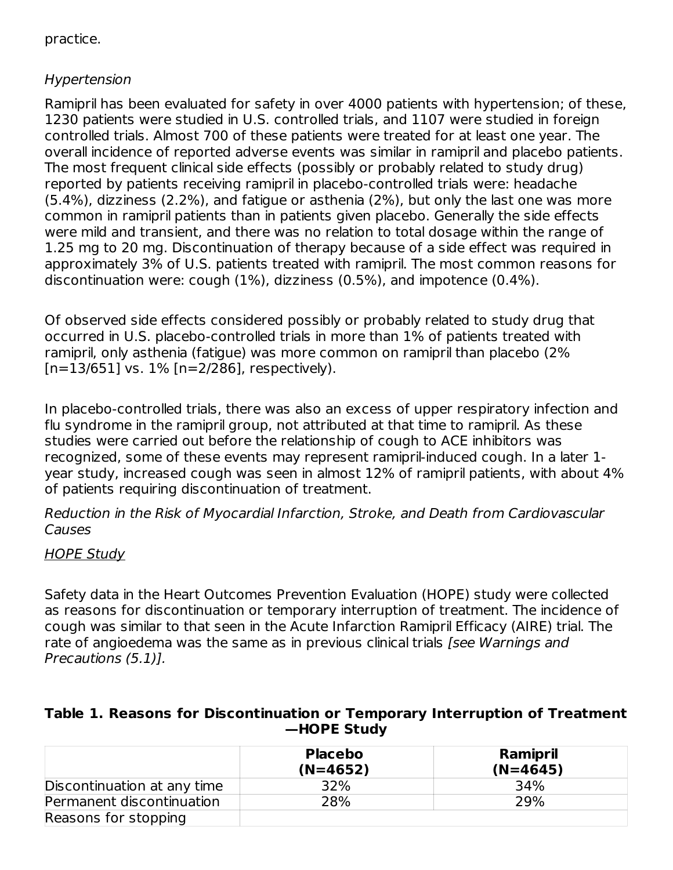#### practice.

#### Hypertension

Ramipril has been evaluated for safety in over 4000 patients with hypertension; of these, 1230 patients were studied in U.S. controlled trials, and 1107 were studied in foreign controlled trials. Almost 700 of these patients were treated for at least one year. The overall incidence of reported adverse events was similar in ramipril and placebo patients. The most frequent clinical side effects (possibly or probably related to study drug) reported by patients receiving ramipril in placebo-controlled trials were: headache (5.4%), dizziness (2.2%), and fatigue or asthenia (2%), but only the last one was more common in ramipril patients than in patients given placebo. Generally the side effects were mild and transient, and there was no relation to total dosage within the range of 1.25 mg to 20 mg. Discontinuation of therapy because of a side effect was required in approximately 3% of U.S. patients treated with ramipril. The most common reasons for discontinuation were: cough (1%), dizziness (0.5%), and impotence (0.4%).

Of observed side effects considered possibly or probably related to study drug that occurred in U.S. placebo-controlled trials in more than 1% of patients treated with ramipril, only asthenia (fatigue) was more common on ramipril than placebo (2%  $[n=13/651]$  vs.  $1\%$   $[n=2/286]$ , respectively).

In placebo-controlled trials, there was also an excess of upper respiratory infection and flu syndrome in the ramipril group, not attributed at that time to ramipril. As these studies were carried out before the relationship of cough to ACE inhibitors was recognized, some of these events may represent ramipril-induced cough. In a later 1 year study, increased cough was seen in almost 12% of ramipril patients, with about 4% of patients requiring discontinuation of treatment.

Reduction in the Risk of Myocardial Infarction, Stroke, and Death from Cardiovascular Causes

#### **HOPE Study**

Safety data in the Heart Outcomes Prevention Evaluation (HOPE) study were collected as reasons for discontinuation or temporary interruption of treatment. The incidence of cough was similar to that seen in the Acute Infarction Ramipril Efficacy (AIRE) trial. The rate of angioedema was the same as in previous clinical trials [see Warnings and Precautions (5.1)].

#### **Table 1. Reasons for Discontinuation or Temporary Interruption of Treatment —HOPE Study**

|                             | <b>Placebo</b><br>$(N=4652)$ | <b>Ramipril</b><br>$(N=4645)$ |
|-----------------------------|------------------------------|-------------------------------|
| Discontinuation at any time | 32%                          | 34%                           |
| Permanent discontinuation   | 28%                          | 29%                           |
| Reasons for stopping        |                              |                               |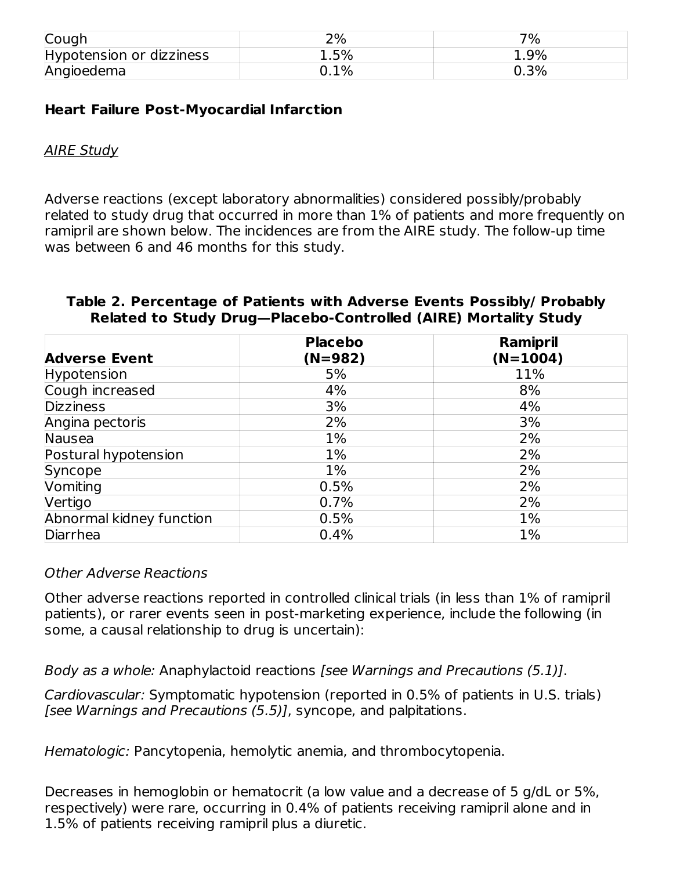| Cough                    | ים ר<br>Z 70 | 7%      |
|--------------------------|--------------|---------|
| Hypotension or dizziness | 1.5%         | $1.9\%$ |
| Angioedema               | $0.1\%$      | $0.3\%$ |

#### **Heart Failure Post-Myocardial Infarction**

#### **AIRE Study**

Adverse reactions (except laboratory abnormalities) considered possibly/probably related to study drug that occurred in more than 1% of patients and more frequently on ramipril are shown below. The incidences are from the AIRE study. The follow-up time was between 6 and 46 months for this study.

|                          | <b>Placebo</b> | Ramipril   |
|--------------------------|----------------|------------|
| <b>Adverse Event</b>     | $(N=982)$      | $(N=1004)$ |
| Hypotension              | 5%             | 11%        |
| Cough increased          | 4%             | 8%         |
| <b>Dizziness</b>         | 3%             | 4%         |
| Angina pectoris          | 2%             | 3%         |
| Nausea                   | $1\%$          | 2%         |
| Postural hypotension     | $1\%$          | 2%         |
| Syncope                  | $1\%$          | 2%         |
| Vomiting                 | 0.5%           | 2%         |
| Vertigo                  | 0.7%           | 2%         |
| Abnormal kidney function | 0.5%           | 1%         |
| Diarrhea                 | 0.4%           | 1%         |

#### **Table 2. Percentage of Patients with Adverse Events Possibly/ Probably Related to Study Drug—Placebo-Controlled (AIRE) Mortality Study**

#### Other Adverse Reactions

Other adverse reactions reported in controlled clinical trials (in less than 1% of ramipril patients), or rarer events seen in post-marketing experience, include the following (in some, a causal relationship to drug is uncertain):

Body as a whole: Anaphylactoid reactions [see Warnings and Precautions (5.1)].

Cardiovascular: Symptomatic hypotension (reported in 0.5% of patients in U.S. trials) [see Warnings and Precautions (5.5)], syncope, and palpitations.

Hematologic: Pancytopenia, hemolytic anemia, and thrombocytopenia.

Decreases in hemoglobin or hematocrit (a low value and a decrease of 5 g/dL or 5%, respectively) were rare, occurring in 0.4% of patients receiving ramipril alone and in 1.5% of patients receiving ramipril plus a diuretic.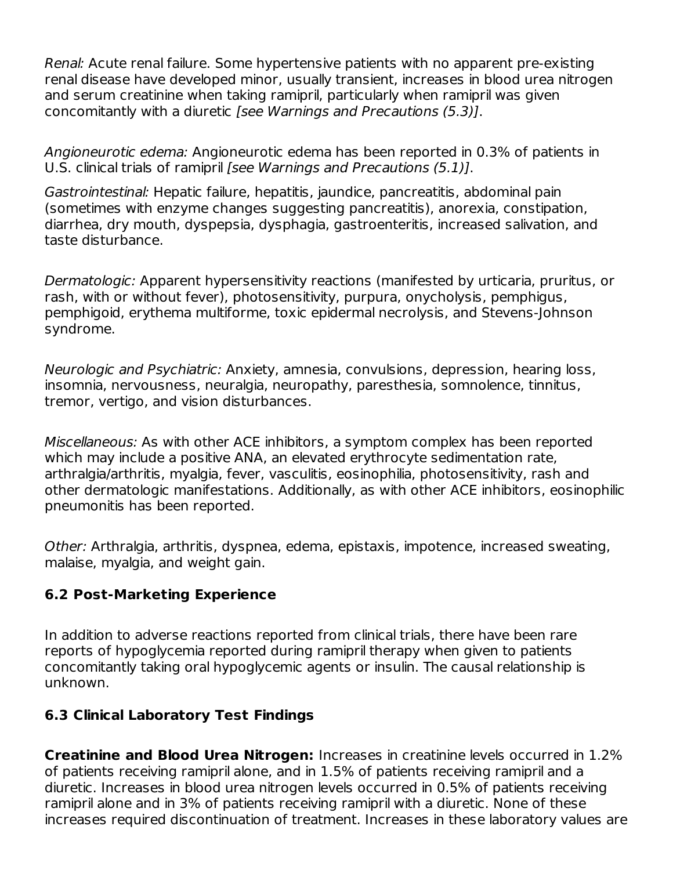Renal: Acute renal failure. Some hypertensive patients with no apparent pre-existing renal disease have developed minor, usually transient, increases in blood urea nitrogen and serum creatinine when taking ramipril, particularly when ramipril was given concomitantly with a diuretic [see Warnings and Precautions (5.3)].

Angioneurotic edema: Angioneurotic edema has been reported in 0.3% of patients in U.S. clinical trials of ramipril [see Warnings and Precautions (5.1)].

Gastrointestinal: Hepatic failure, hepatitis, jaundice, pancreatitis, abdominal pain (sometimes with enzyme changes suggesting pancreatitis), anorexia, constipation, diarrhea, dry mouth, dyspepsia, dysphagia, gastroenteritis, increased salivation, and taste disturbance.

Dermatologic: Apparent hypersensitivity reactions (manifested by urticaria, pruritus, or rash, with or without fever), photosensitivity, purpura, onycholysis, pemphigus, pemphigoid, erythema multiforme, toxic epidermal necrolysis, and Stevens-Johnson syndrome.

Neurologic and Psychiatric: Anxiety, amnesia, convulsions, depression, hearing loss, insomnia, nervousness, neuralgia, neuropathy, paresthesia, somnolence, tinnitus, tremor, vertigo, and vision disturbances.

Miscellaneous: As with other ACE inhibitors, a symptom complex has been reported which may include a positive ANA, an elevated erythrocyte sedimentation rate, arthralgia/arthritis, myalgia, fever, vasculitis, eosinophilia, photosensitivity, rash and other dermatologic manifestations. Additionally, as with other ACE inhibitors, eosinophilic pneumonitis has been reported.

Other: Arthralgia, arthritis, dyspnea, edema, epistaxis, impotence, increased sweating, malaise, myalgia, and weight gain.

### **6.2 Post-Marketing Experience**

In addition to adverse reactions reported from clinical trials, there have been rare reports of hypoglycemia reported during ramipril therapy when given to patients concomitantly taking oral hypoglycemic agents or insulin. The causal relationship is unknown.

#### **6.3 Clinical Laboratory Test Findings**

**Creatinine and Blood Urea Nitrogen:** Increases in creatinine levels occurred in 1.2% of patients receiving ramipril alone, and in 1.5% of patients receiving ramipril and a diuretic. Increases in blood urea nitrogen levels occurred in 0.5% of patients receiving ramipril alone and in 3% of patients receiving ramipril with a diuretic. None of these increases required discontinuation of treatment. Increases in these laboratory values are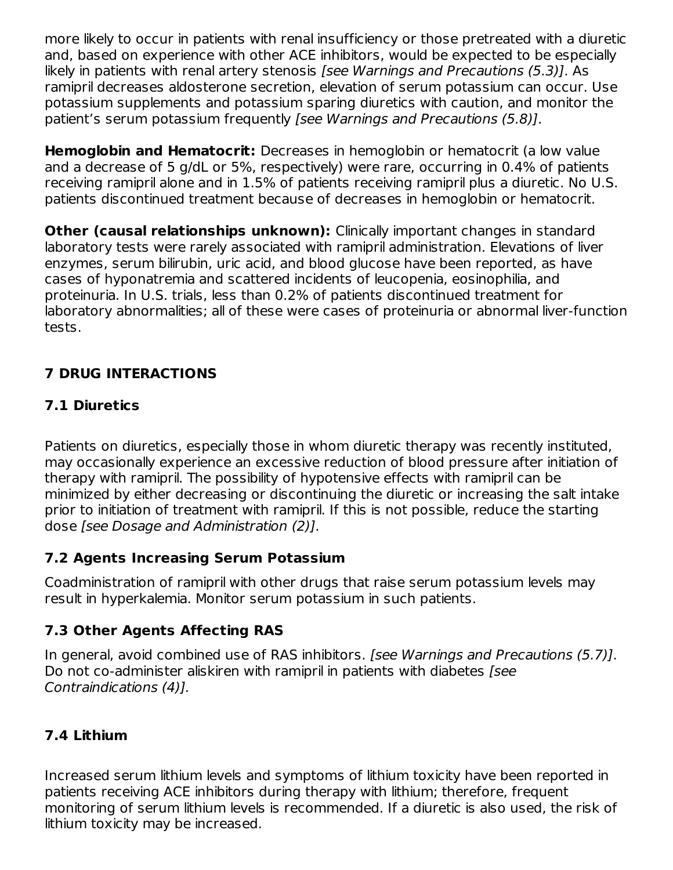more likely to occur in patients with renal insufficiency or those pretreated with a diuretic and, based on experience with other ACE inhibitors, would be expected to be especially likely in patients with renal artery stenosis [see Warnings and Precautions (5.3)]. As ramipril decreases aldosterone secretion, elevation of serum potassium can occur. Use potassium supplements and potassium sparing diuretics with caution, and monitor the patient's serum potassium frequently [see Warnings and Precautions (5.8)].

**Hemoglobin and Hematocrit:** Decreases in hemoglobin or hematocrit (a low value and a decrease of 5 g/dL or 5%, respectively) were rare, occurring in 0.4% of patients receiving ramipril alone and in 1.5% of patients receiving ramipril plus a diuretic. No U.S. patients discontinued treatment because of decreases in hemoglobin or hematocrit.

**Other (causal relationships unknown):** Clinically important changes in standard laboratory tests were rarely associated with ramipril administration. Elevations of liver enzymes, serum bilirubin, uric acid, and blood glucose have been reported, as have cases of hyponatremia and scattered incidents of leucopenia, eosinophilia, and proteinuria. In U.S. trials, less than 0.2% of patients discontinued treatment for laboratory abnormalities; all of these were cases of proteinuria or abnormal liver-function tests.

### **7 DRUG INTERACTIONS**

### **7.1 Diuretics**

Patients on diuretics, especially those in whom diuretic therapy was recently instituted, may occasionally experience an excessive reduction of blood pressure after initiation of therapy with ramipril. The possibility of hypotensive effects with ramipril can be minimized by either decreasing or discontinuing the diuretic or increasing the salt intake prior to initiation of treatment with ramipril. If this is not possible, reduce the starting dose [see Dosage and Administration (2)].

### **7.2 Agents Increasing Serum Potassium**

Coadministration of ramipril with other drugs that raise serum potassium levels may result in hyperkalemia. Monitor serum potassium in such patients.

### **7.3 Other Agents Affecting RAS**

In general, avoid combined use of RAS inhibitors. [see Warnings and Precautions (5.7)]. Do not co-administer aliskiren with ramipril in patients with diabetes [see] Contraindications (4)].

### **7.4 Lithium**

Increased serum lithium levels and symptoms of lithium toxicity have been reported in patients receiving ACE inhibitors during therapy with lithium; therefore, frequent monitoring of serum lithium levels is recommended. If a diuretic is also used, the risk of lithium toxicity may be increased.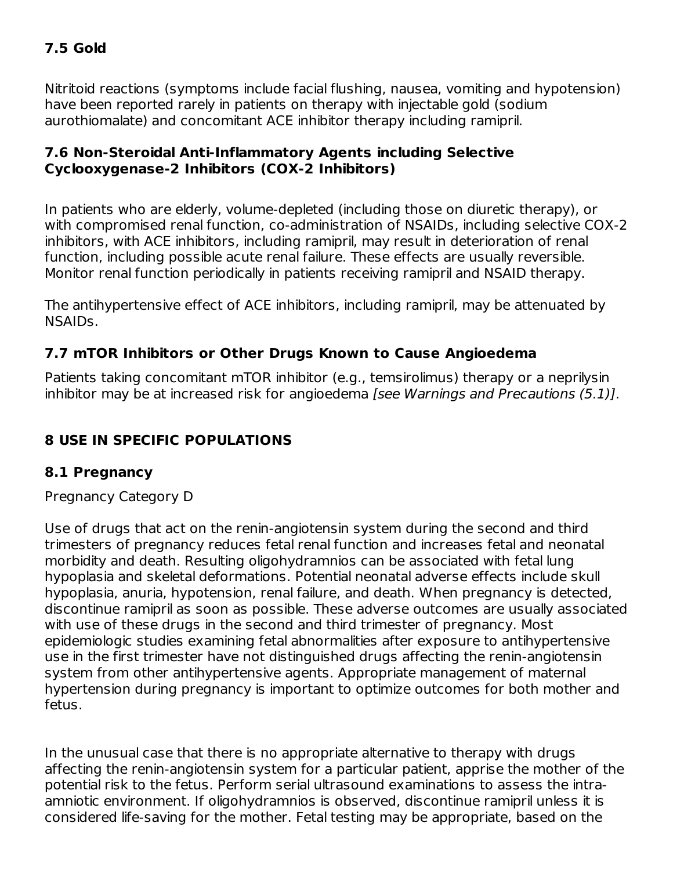### **7.5 Gold**

Nitritoid reactions (symptoms include facial flushing, nausea, vomiting and hypotension) have been reported rarely in patients on therapy with injectable gold (sodium aurothiomalate) and concomitant ACE inhibitor therapy including ramipril.

### **7.6 Non-Steroidal Anti-Inflammatory Agents including Selective Cyclooxygenase-2 Inhibitors (COX-2 Inhibitors)**

In patients who are elderly, volume-depleted (including those on diuretic therapy), or with compromised renal function, co-administration of NSAIDs, including selective COX-2 inhibitors, with ACE inhibitors, including ramipril, may result in deterioration of renal function, including possible acute renal failure. These effects are usually reversible. Monitor renal function periodically in patients receiving ramipril and NSAID therapy.

The antihypertensive effect of ACE inhibitors, including ramipril, may be attenuated by NSAIDs.

### **7.7 mTOR Inhibitors or Other Drugs Known to Cause Angioedema**

Patients taking concomitant mTOR inhibitor (e.g., temsirolimus) therapy or a neprilysin inhibitor may be at increased risk for angioedema [see Warnings and Precautions (5.1)].

### **8 USE IN SPECIFIC POPULATIONS**

### **8.1 Pregnancy**

Pregnancy Category D

Use of drugs that act on the renin-angiotensin system during the second and third trimesters of pregnancy reduces fetal renal function and increases fetal and neonatal morbidity and death. Resulting oligohydramnios can be associated with fetal lung hypoplasia and skeletal deformations. Potential neonatal adverse effects include skull hypoplasia, anuria, hypotension, renal failure, and death. When pregnancy is detected, discontinue ramipril as soon as possible. These adverse outcomes are usually associated with use of these drugs in the second and third trimester of pregnancy. Most epidemiologic studies examining fetal abnormalities after exposure to antihypertensive use in the first trimester have not distinguished drugs affecting the renin-angiotensin system from other antihypertensive agents. Appropriate management of maternal hypertension during pregnancy is important to optimize outcomes for both mother and fetus.

In the unusual case that there is no appropriate alternative to therapy with drugs affecting the renin-angiotensin system for a particular patient, apprise the mother of the potential risk to the fetus. Perform serial ultrasound examinations to assess the intraamniotic environment. If oligohydramnios is observed, discontinue ramipril unless it is considered life-saving for the mother. Fetal testing may be appropriate, based on the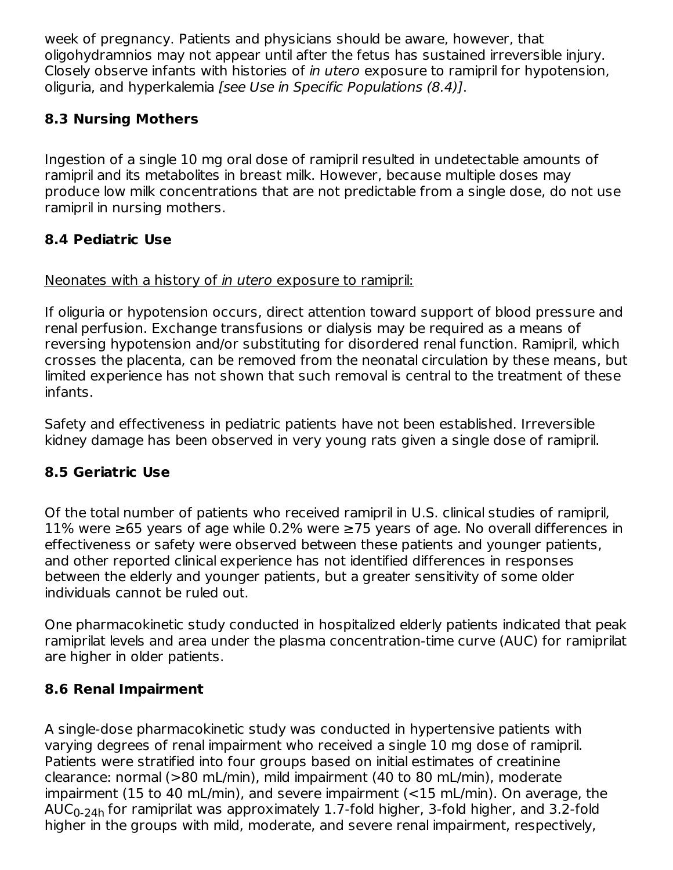week of pregnancy. Patients and physicians should be aware, however, that oligohydramnios may not appear until after the fetus has sustained irreversible injury. Closely observe infants with histories of in utero exposure to ramipril for hypotension, oliguria, and hyperkalemia [see Use in Specific Populations (8.4)].

### **8.3 Nursing Mothers**

Ingestion of a single 10 mg oral dose of ramipril resulted in undetectable amounts of ramipril and its metabolites in breast milk. However, because multiple doses may produce low milk concentrations that are not predictable from a single dose, do not use ramipril in nursing mothers.

### **8.4 Pediatric Use**

### Neonates with a history of *in utero* exposure to ramipril:

If oliguria or hypotension occurs, direct attention toward support of blood pressure and renal perfusion. Exchange transfusions or dialysis may be required as a means of reversing hypotension and/or substituting for disordered renal function. Ramipril, which crosses the placenta, can be removed from the neonatal circulation by these means, but limited experience has not shown that such removal is central to the treatment of these infants.

Safety and effectiveness in pediatric patients have not been established. Irreversible kidney damage has been observed in very young rats given a single dose of ramipril.

### **8.5 Geriatric Use**

Of the total number of patients who received ramipril in U.S. clinical studies of ramipril, 11% were ≥65 years of age while 0.2% were ≥75 years of age. No overall differences in effectiveness or safety were observed between these patients and younger patients, and other reported clinical experience has not identified differences in responses between the elderly and younger patients, but a greater sensitivity of some older individuals cannot be ruled out.

One pharmacokinetic study conducted in hospitalized elderly patients indicated that peak ramiprilat levels and area under the plasma concentration-time curve (AUC) for ramiprilat are higher in older patients.

### **8.6 Renal Impairment**

A single-dose pharmacokinetic study was conducted in hypertensive patients with varying degrees of renal impairment who received a single 10 mg dose of ramipril. Patients were stratified into four groups based on initial estimates of creatinine clearance: normal (>80 mL/min), mild impairment (40 to 80 mL/min), moderate impairment (15 to 40 mL/min), and severe impairment (<15 mL/min). On average, the  $\mathsf{AUC}_{0\text{-}24\mathsf{h}}$  for ramiprilat was approximately  $1.7$ -fold higher, 3-fold higher, and 3.2-fold higher in the groups with mild, moderate, and severe renal impairment, respectively,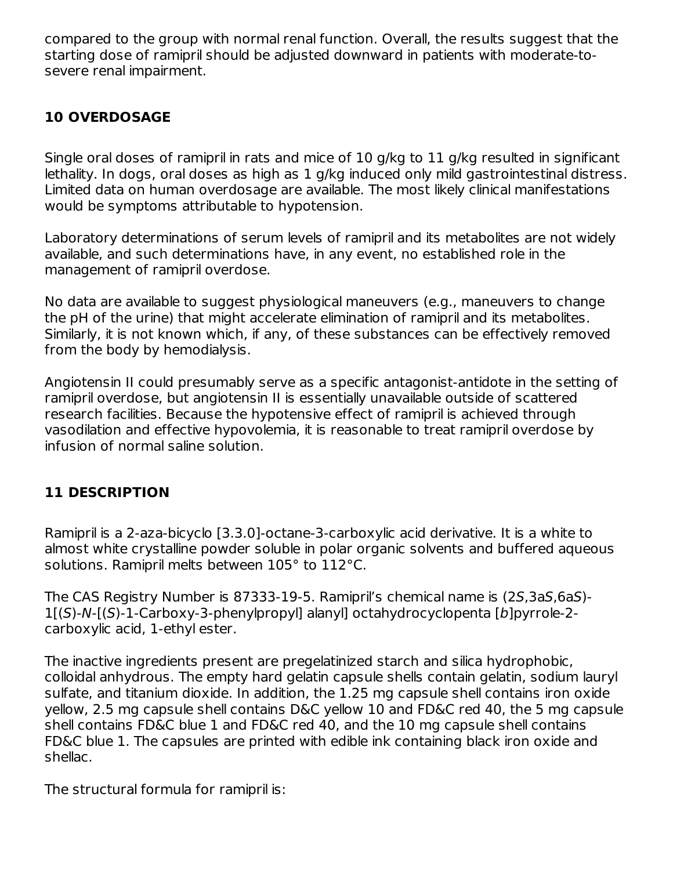compared to the group with normal renal function. Overall, the results suggest that the starting dose of ramipril should be adjusted downward in patients with moderate-tosevere renal impairment.

### **10 OVERDOSAGE**

Single oral doses of ramipril in rats and mice of 10 g/kg to 11 g/kg resulted in significant lethality. In dogs, oral doses as high as 1 g/kg induced only mild gastrointestinal distress. Limited data on human overdosage are available. The most likely clinical manifestations would be symptoms attributable to hypotension.

Laboratory determinations of serum levels of ramipril and its metabolites are not widely available, and such determinations have, in any event, no established role in the management of ramipril overdose.

No data are available to suggest physiological maneuvers (e.g., maneuvers to change the pH of the urine) that might accelerate elimination of ramipril and its metabolites. Similarly, it is not known which, if any, of these substances can be effectively removed from the body by hemodialysis.

Angiotensin II could presumably serve as a specific antagonist-antidote in the setting of ramipril overdose, but angiotensin II is essentially unavailable outside of scattered research facilities. Because the hypotensive effect of ramipril is achieved through vasodilation and effective hypovolemia, it is reasonable to treat ramipril overdose by infusion of normal saline solution.

### **11 DESCRIPTION**

Ramipril is a 2-aza-bicyclo [3.3.0]-octane-3-carboxylic acid derivative. It is a white to almost white crystalline powder soluble in polar organic solvents and buffered aqueous solutions. Ramipril melts between 105° to 112°C.

The CAS Registry Number is 87333-19-5. Ramipril's chemical name is (2S,3aS,6aS)- 1[(S)-N-[(S)-1-Carboxy-3-phenylpropyl] alanyl] octahydrocyclopenta [b]pyrrole-2 carboxylic acid, 1-ethyl ester.

The inactive ingredients present are pregelatinized starch and silica hydrophobic, colloidal anhydrous. The empty hard gelatin capsule shells contain gelatin, sodium lauryl sulfate, and titanium dioxide. In addition, the 1.25 mg capsule shell contains iron oxide yellow, 2.5 mg capsule shell contains D&C yellow 10 and FD&C red 40, the 5 mg capsule shell contains FD&C blue 1 and FD&C red 40, and the 10 mg capsule shell contains FD&C blue 1. The capsules are printed with edible ink containing black iron oxide and shellac.

The structural formula for ramipril is: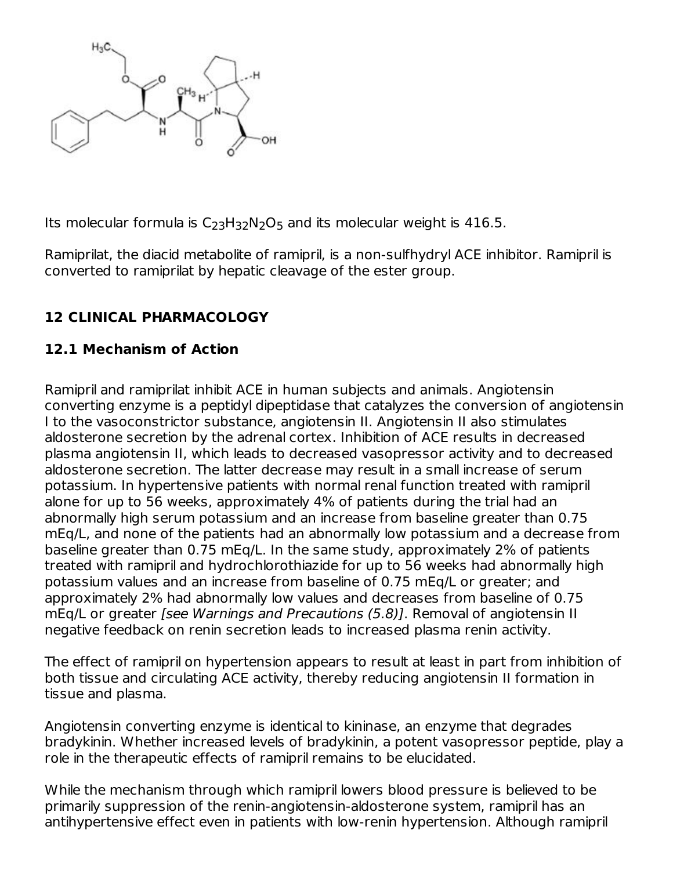

Its molecular formula is  $C_{23}H_{32}N_2O_5$  and its molecular weight is 416.5.

Ramiprilat, the diacid metabolite of ramipril, is a non-sulfhydryl ACE inhibitor. Ramipril is converted to ramiprilat by hepatic cleavage of the ester group.

### **12 CLINICAL PHARMACOLOGY**

### **12.1 Mechanism of Action**

Ramipril and ramiprilat inhibit ACE in human subjects and animals. Angiotensin converting enzyme is a peptidyl dipeptidase that catalyzes the conversion of angiotensin I to the vasoconstrictor substance, angiotensin II. Angiotensin II also stimulates aldosterone secretion by the adrenal cortex. Inhibition of ACE results in decreased plasma angiotensin II, which leads to decreased vasopressor activity and to decreased aldosterone secretion. The latter decrease may result in a small increase of serum potassium. In hypertensive patients with normal renal function treated with ramipril alone for up to 56 weeks, approximately 4% of patients during the trial had an abnormally high serum potassium and an increase from baseline greater than 0.75 mEq/L, and none of the patients had an abnormally low potassium and a decrease from baseline greater than 0.75 mEq/L. In the same study, approximately 2% of patients treated with ramipril and hydrochlorothiazide for up to 56 weeks had abnormally high potassium values and an increase from baseline of 0.75 mEq/L or greater; and approximately 2% had abnormally low values and decreases from baseline of 0.75 mEq/L or greater [see Warnings and Precautions (5.8)]. Removal of angiotensin II negative feedback on renin secretion leads to increased plasma renin activity.

The effect of ramipril on hypertension appears to result at least in part from inhibition of both tissue and circulating ACE activity, thereby reducing angiotensin II formation in tissue and plasma.

Angiotensin converting enzyme is identical to kininase, an enzyme that degrades bradykinin. Whether increased levels of bradykinin, a potent vasopressor peptide, play a role in the therapeutic effects of ramipril remains to be elucidated.

While the mechanism through which ramipril lowers blood pressure is believed to be primarily suppression of the renin-angiotensin-aldosterone system, ramipril has an antihypertensive effect even in patients with low-renin hypertension. Although ramipril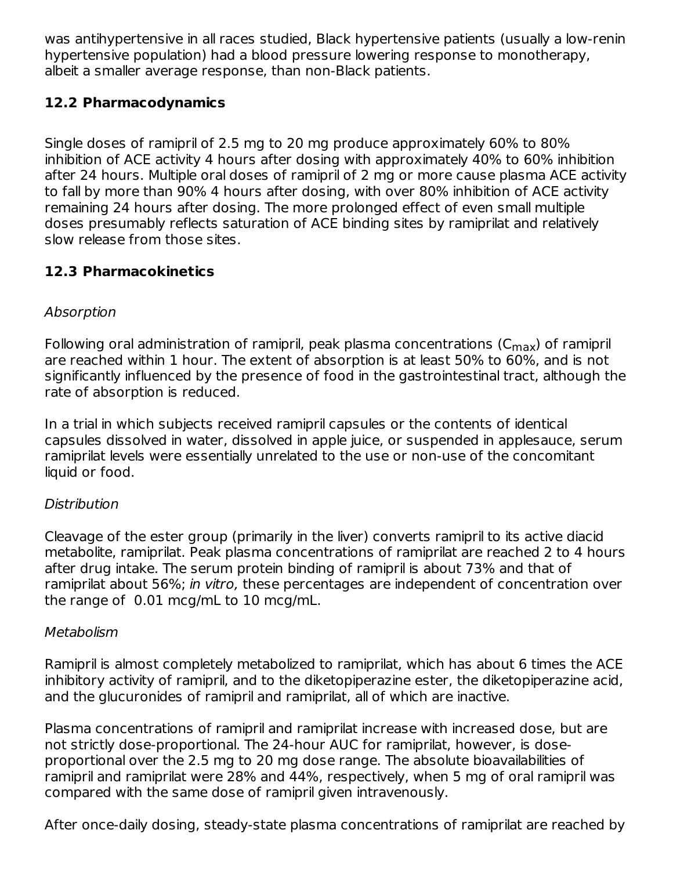was antihypertensive in all races studied, Black hypertensive patients (usually a low-renin hypertensive population) had a blood pressure lowering response to monotherapy, albeit a smaller average response, than non-Black patients.

### **12.2 Pharmacodynamics**

Single doses of ramipril of 2.5 mg to 20 mg produce approximately 60% to 80% inhibition of ACE activity 4 hours after dosing with approximately 40% to 60% inhibition after 24 hours. Multiple oral doses of ramipril of 2 mg or more cause plasma ACE activity to fall by more than 90% 4 hours after dosing, with over 80% inhibition of ACE activity remaining 24 hours after dosing. The more prolonged effect of even small multiple doses presumably reflects saturation of ACE binding sites by ramiprilat and relatively slow release from those sites.

### **12.3 Pharmacokinetics**

### Absorption

Following oral administration of ramipril, peak plasma concentrations (C $_{\sf max}$ ) of ramipril are reached within 1 hour. The extent of absorption is at least 50% to 60%, and is not significantly influenced by the presence of food in the gastrointestinal tract, although the rate of absorption is reduced.

In a trial in which subjects received ramipril capsules or the contents of identical capsules dissolved in water, dissolved in apple juice, or suspended in applesauce, serum ramiprilat levels were essentially unrelated to the use or non-use of the concomitant liquid or food.

### Distribution

Cleavage of the ester group (primarily in the liver) converts ramipril to its active diacid metabolite, ramiprilat. Peak plasma concentrations of ramiprilat are reached 2 to 4 hours after drug intake. The serum protein binding of ramipril is about 73% and that of ramiprilat about 56%; in vitro, these percentages are independent of concentration over the range of 0.01 mcg/mL to 10 mcg/mL.

#### Metabolism

Ramipril is almost completely metabolized to ramiprilat, which has about 6 times the ACE inhibitory activity of ramipril, and to the diketopiperazine ester, the diketopiperazine acid, and the glucuronides of ramipril and ramiprilat, all of which are inactive.

Plasma concentrations of ramipril and ramiprilat increase with increased dose, but are not strictly dose-proportional. The 24-hour AUC for ramiprilat, however, is doseproportional over the 2.5 mg to 20 mg dose range. The absolute bioavailabilities of ramipril and ramiprilat were 28% and 44%, respectively, when 5 mg of oral ramipril was compared with the same dose of ramipril given intravenously.

After once-daily dosing, steady-state plasma concentrations of ramiprilat are reached by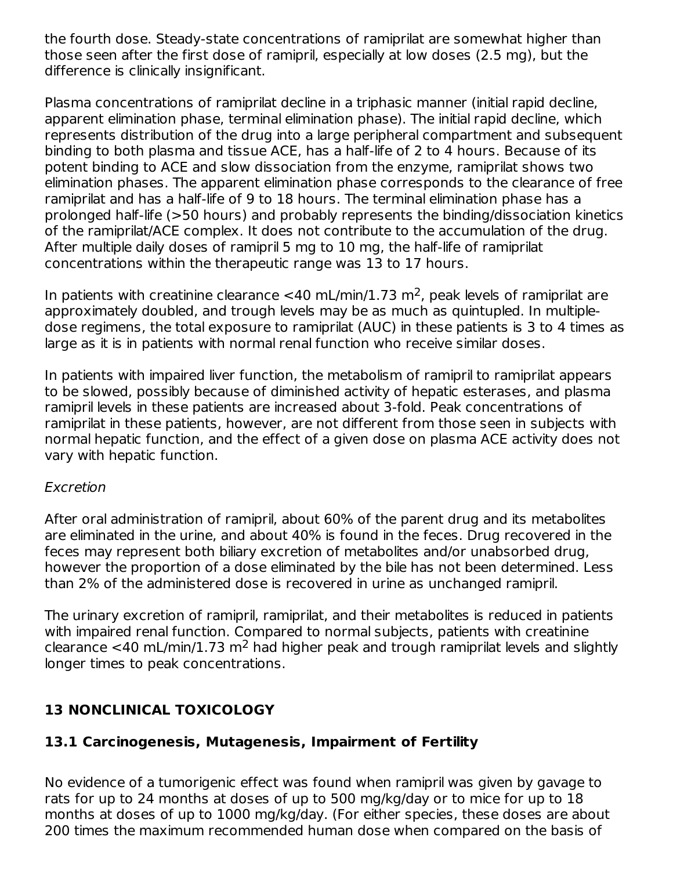the fourth dose. Steady-state concentrations of ramiprilat are somewhat higher than those seen after the first dose of ramipril, especially at low doses (2.5 mg), but the difference is clinically insignificant.

Plasma concentrations of ramiprilat decline in a triphasic manner (initial rapid decline, apparent elimination phase, terminal elimination phase). The initial rapid decline, which represents distribution of the drug into a large peripheral compartment and subsequent binding to both plasma and tissue ACE, has a half-life of 2 to 4 hours. Because of its potent binding to ACE and slow dissociation from the enzyme, ramiprilat shows two elimination phases. The apparent elimination phase corresponds to the clearance of free ramiprilat and has a half-life of 9 to 18 hours. The terminal elimination phase has a prolonged half-life (>50 hours) and probably represents the binding/dissociation kinetics of the ramiprilat/ACE complex. It does not contribute to the accumulation of the drug. After multiple daily doses of ramipril 5 mg to 10 mg, the half-life of ramiprilat concentrations within the therapeutic range was 13 to 17 hours.

In patients with creatinine clearance <40 mL/min/1.73 m<sup>2</sup>, peak levels of ramiprilat are approximately doubled, and trough levels may be as much as quintupled. In multipledose regimens, the total exposure to ramiprilat (AUC) in these patients is 3 to 4 times as large as it is in patients with normal renal function who receive similar doses.

In patients with impaired liver function, the metabolism of ramipril to ramiprilat appears to be slowed, possibly because of diminished activity of hepatic esterases, and plasma ramipril levels in these patients are increased about 3-fold. Peak concentrations of ramiprilat in these patients, however, are not different from those seen in subjects with normal hepatic function, and the effect of a given dose on plasma ACE activity does not vary with hepatic function.

#### Excretion

After oral administration of ramipril, about 60% of the parent drug and its metabolites are eliminated in the urine, and about 40% is found in the feces. Drug recovered in the feces may represent both biliary excretion of metabolites and/or unabsorbed drug, however the proportion of a dose eliminated by the bile has not been determined. Less than 2% of the administered dose is recovered in urine as unchanged ramipril.

The urinary excretion of ramipril, ramiprilat, and their metabolites is reduced in patients with impaired renal function. Compared to normal subjects, patients with creatinine clearance <40 mL/min/1.73 m<sup>2</sup> had higher peak and trough ramiprilat levels and slightly longer times to peak concentrations.

### **13 NONCLINICAL TOXICOLOGY**

### **13.1 Carcinogenesis, Mutagenesis, Impairment of Fertility**

No evidence of a tumorigenic effect was found when ramipril was given by gavage to rats for up to 24 months at doses of up to 500 mg/kg/day or to mice for up to 18 months at doses of up to 1000 mg/kg/day. (For either species, these doses are about 200 times the maximum recommended human dose when compared on the basis of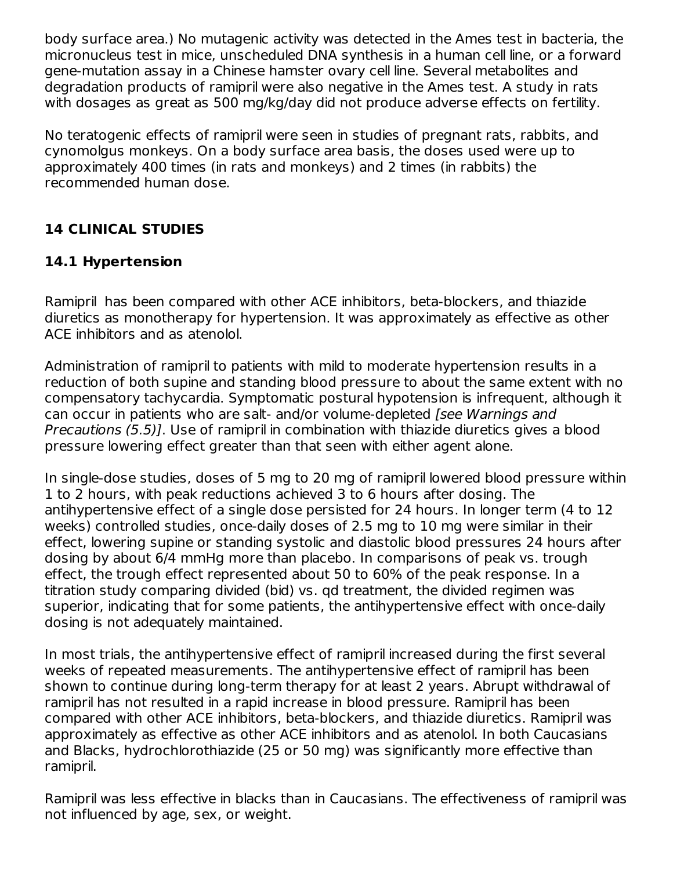body surface area.) No mutagenic activity was detected in the Ames test in bacteria, the micronucleus test in mice, unscheduled DNA synthesis in a human cell line, or a forward gene-mutation assay in a Chinese hamster ovary cell line. Several metabolites and degradation products of ramipril were also negative in the Ames test. A study in rats with dosages as great as 500 mg/kg/day did not produce adverse effects on fertility.

No teratogenic effects of ramipril were seen in studies of pregnant rats, rabbits, and cynomolgus monkeys. On a body surface area basis, the doses used were up to approximately 400 times (in rats and monkeys) and 2 times (in rabbits) the recommended human dose.

### **14 CLINICAL STUDIES**

### **14.1 Hypertension**

Ramipril has been compared with other ACE inhibitors, beta-blockers, and thiazide diuretics as monotherapy for hypertension. It was approximately as effective as other ACE inhibitors and as atenolol.

Administration of ramipril to patients with mild to moderate hypertension results in a reduction of both supine and standing blood pressure to about the same extent with no compensatory tachycardia. Symptomatic postural hypotension is infrequent, although it can occur in patients who are salt- and/or volume-depleted [see Warnings and Precautions (5.5)]. Use of ramipril in combination with thiazide diuretics gives a blood pressure lowering effect greater than that seen with either agent alone.

In single-dose studies, doses of 5 mg to 20 mg of ramipril lowered blood pressure within 1 to 2 hours, with peak reductions achieved 3 to 6 hours after dosing. The antihypertensive effect of a single dose persisted for 24 hours. In longer term (4 to 12 weeks) controlled studies, once-daily doses of 2.5 mg to 10 mg were similar in their effect, lowering supine or standing systolic and diastolic blood pressures 24 hours after dosing by about 6/4 mmHg more than placebo. In comparisons of peak vs. trough effect, the trough effect represented about 50 to 60% of the peak response. In a titration study comparing divided (bid) vs. qd treatment, the divided regimen was superior, indicating that for some patients, the antihypertensive effect with once-daily dosing is not adequately maintained.

In most trials, the antihypertensive effect of ramipril increased during the first several weeks of repeated measurements. The antihypertensive effect of ramipril has been shown to continue during long-term therapy for at least 2 years. Abrupt withdrawal of ramipril has not resulted in a rapid increase in blood pressure. Ramipril has been compared with other ACE inhibitors, beta-blockers, and thiazide diuretics. Ramipril was approximately as effective as other ACE inhibitors and as atenolol. In both Caucasians and Blacks, hydrochlorothiazide (25 or 50 mg) was significantly more effective than ramipril.

Ramipril was less effective in blacks than in Caucasians. The effectiveness of ramipril was not influenced by age, sex, or weight.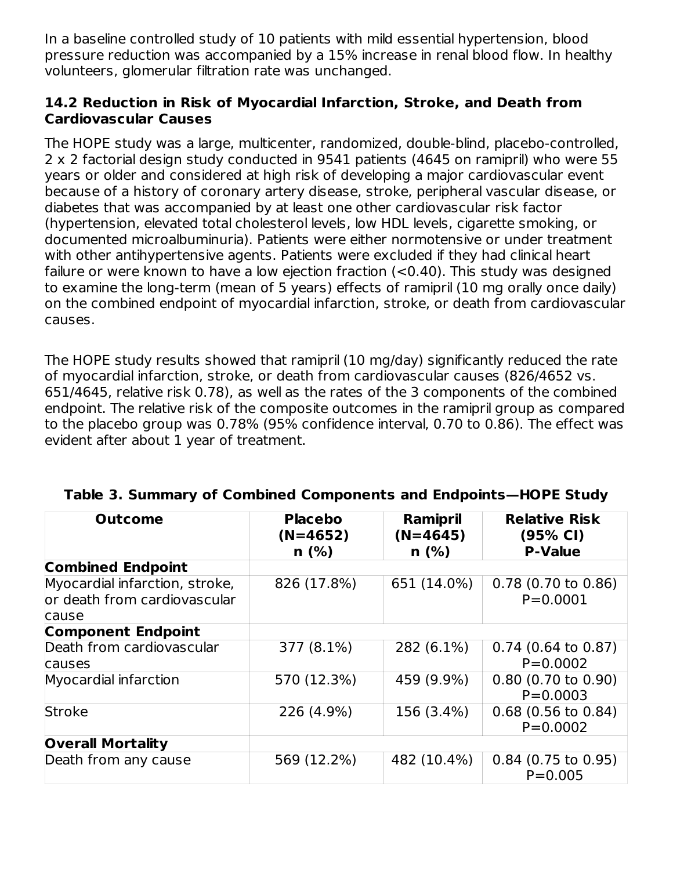In a baseline controlled study of 10 patients with mild essential hypertension, blood pressure reduction was accompanied by a 15% increase in renal blood flow. In healthy volunteers, glomerular filtration rate was unchanged.

#### **14.2 Reduction in Risk of Myocardial Infarction, Stroke, and Death from Cardiovascular Causes**

The HOPE study was a large, multicenter, randomized, double-blind, placebo-controlled, 2 x 2 factorial design study conducted in 9541 patients (4645 on ramipril) who were 55 years or older and considered at high risk of developing a major cardiovascular event because of a history of coronary artery disease, stroke, peripheral vascular disease, or diabetes that was accompanied by at least one other cardiovascular risk factor (hypertension, elevated total cholesterol levels, low HDL levels, cigarette smoking, or documented microalbuminuria). Patients were either normotensive or under treatment with other antihypertensive agents. Patients were excluded if they had clinical heart failure or were known to have a low ejection fraction (<0.40). This study was designed to examine the long-term (mean of 5 years) effects of ramipril (10 mg orally once daily) on the combined endpoint of myocardial infarction, stroke, or death from cardiovascular causes.

The HOPE study results showed that ramipril (10 mg/day) significantly reduced the rate of myocardial infarction, stroke, or death from cardiovascular causes (826/4652 vs. 651/4645, relative risk 0.78), as well as the rates of the 3 components of the combined endpoint. The relative risk of the composite outcomes in the ramipril group as compared to the placebo group was 0.78% (95% confidence interval, 0.70 to 0.86). The effect was evident after about 1 year of treatment.

| <b>Outcome</b>                                                          | <b>Placebo</b><br>$(N=4652)$ | Ramipril<br>$(N=4645)$ | <b>Relative Risk</b><br>(95% CI)      |
|-------------------------------------------------------------------------|------------------------------|------------------------|---------------------------------------|
|                                                                         | n(%)                         | n(%)                   | <b>P-Value</b>                        |
| <b>Combined Endpoint</b>                                                |                              |                        |                                       |
| Myocardial infarction, stroke,<br>or death from cardiovascular<br>cause | 826 (17.8%)                  | 651 (14.0%)            | $0.78$ (0.70 to 0.86)<br>$P = 0.0001$ |
| <b>Component Endpoint</b>                                               |                              |                        |                                       |
| Death from cardiovascular<br>causes                                     | 377 (8.1%)                   | 282 (6.1%)             | $0.74$ (0.64 to 0.87)<br>$P = 0.0002$ |
| Myocardial infarction                                                   | 570 (12.3%)                  | 459 (9.9%)             | $0.80$ (0.70 to 0.90)<br>$P = 0.0003$ |
| <b>Stroke</b>                                                           | 226 (4.9%)                   | 156 (3.4%)             | $0.68$ (0.56 to 0.84)<br>$P = 0.0002$ |
| <b>Overall Mortality</b>                                                |                              |                        |                                       |
| Death from any cause                                                    | 569 (12.2%)                  | 482 (10.4%)            | $0.84$ (0.75 to 0.95)<br>$P = 0.005$  |

#### **Table 3. Summary of Combined Components and Endpoints—HOPE Study**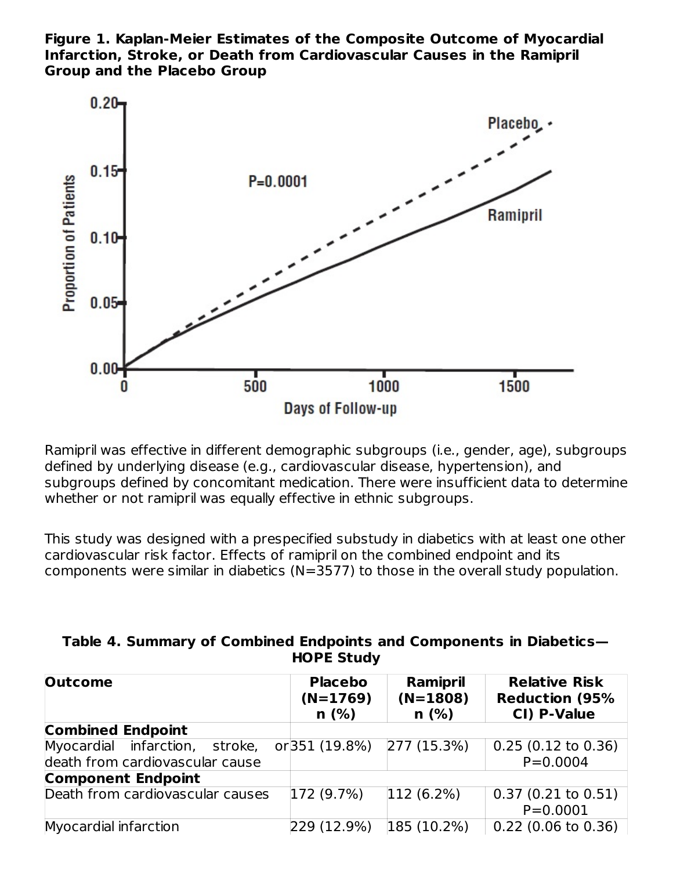**Figure 1. Kaplan-Meier Estimates of the Composite Outcome of Myocardial Infarction, Stroke, or Death from Cardiovascular Causes in the Ramipril Group and the Placebo Group**



Ramipril was effective in different demographic subgroups (i.e., gender, age), subgroups defined by underlying disease (e.g., cardiovascular disease, hypertension), and subgroups defined by concomitant medication. There were insufficient data to determine whether or not ramipril was equally effective in ethnic subgroups.

This study was designed with a prespecified substudy in diabetics with at least one other cardiovascular risk factor. Effects of ramipril on the combined endpoint and its components were similar in diabetics (N=3577) to those in the overall study population.

| Table 4. Summary of Combined Endpoints and Components in Diabetics- |
|---------------------------------------------------------------------|
| <b>HOPE Study</b>                                                   |

| <b>Outcome</b>                   | <b>Placebo</b><br>$(N=1769)$<br>n(%) | Ramipril<br>$(N=1808)$<br>n(%) | <b>Relative Risk</b><br><b>Reduction (95%</b><br>CI) P-Value |
|----------------------------------|--------------------------------------|--------------------------------|--------------------------------------------------------------|
| <b>Combined Endpoint</b>         |                                      |                                |                                                              |
| Myocardial infarction, stroke,   | or 351 (19.8%) 277 (15.3%)           |                                | $0.25(0.12 \text{ to } 0.36)$                                |
| death from cardiovascular cause  |                                      |                                | $P = 0.0004$                                                 |
| <b>Component Endpoint</b>        |                                      |                                |                                                              |
| Death from cardiovascular causes | 172(9.7%)                            | $ 112(6.2\%)$                  | $0.37(0.21 \text{ to } 0.51)$                                |
|                                  |                                      |                                | $P = 0.0001$                                                 |
| Myocardial infarction            | 229 (12.9%)                          | 185(10.2%)                     | $0.22$ (0.06 to 0.36)                                        |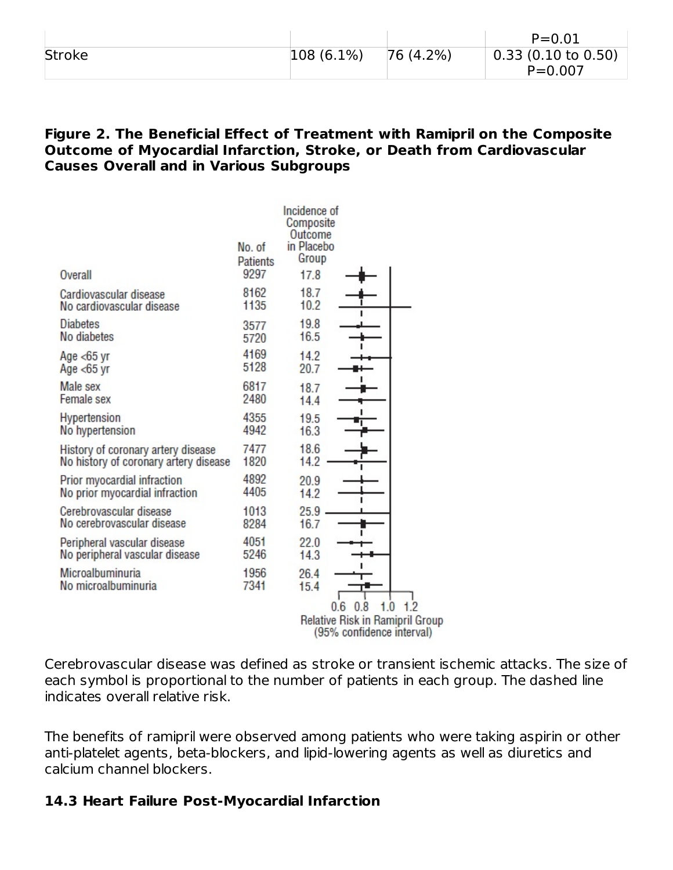|        |               |          | $P = 0.01$                    |
|--------|---------------|----------|-------------------------------|
| Stroke | $ 108(6.1\%)$ | 76(4.2%) | $0.33(0.10 \text{ to } 0.50)$ |
|        |               |          | $P = 0.007$                   |

#### **Figure 2. The Beneficial Effect of Treatment with Ramipril on the Composite Outcome of Myocardial Infarction, Stroke, or Death from Cardiovascular Causes Overall and in Various Subgroups**

|                                                                             |                                   | Incidence of<br>Composite              |         |                                                                            |
|-----------------------------------------------------------------------------|-----------------------------------|----------------------------------------|---------|----------------------------------------------------------------------------|
| Overall                                                                     | No. of<br><b>Patients</b><br>9297 | Outcome<br>in Placebo<br>Group<br>17.8 |         |                                                                            |
| Cardiovascular disease<br>No cardiovascular disease                         | 8162<br>1135                      | 18.7<br>10.2                           |         |                                                                            |
| <b>Diabetes</b><br>No diabetes                                              | 3577<br>5720                      | 19.8<br>16.5                           |         |                                                                            |
| Age $<$ 65 yr<br>Age $<$ 65 yr                                              | 4169<br>5128                      | 14.2<br>20.7                           |         |                                                                            |
| Male sex<br>Female sex                                                      | 6817<br>2480                      | 18.7<br>14.4                           |         |                                                                            |
| Hypertension<br>No hypertension                                             | 4355<br>4942                      | 19.5<br>16.3                           |         |                                                                            |
| History of coronary artery disease<br>No history of coronary artery disease | 7477<br>1820                      | 18.6<br>14.2                           |         |                                                                            |
| Prior myocardial infraction<br>No prior myocardial infraction               | 4892<br>4405                      | 20.9<br>14.2                           |         |                                                                            |
| Cerebrovascular disease<br>No cerebrovascular disease                       | 1013<br>8284                      | 25.9<br>16.7                           |         |                                                                            |
| Peripheral vascular disease<br>No peripheral vascular disease               | 4051<br>5246                      | 22.0<br>14.3                           |         |                                                                            |
| Microalbuminuria<br>No microalbuminuria                                     | 1956<br>7341                      | 26.4<br>15.4                           |         |                                                                            |
|                                                                             |                                   | 0.6                                    | 8<br>0. | 1.2<br>1.0<br>Relative Risk in Ramipril Group<br>(95% confidence interval) |

Cerebrovascular disease was defined as stroke or transient ischemic attacks. The size of each symbol is proportional to the number of patients in each group. The dashed line indicates overall relative risk.

The benefits of ramipril were observed among patients who were taking aspirin or other anti-platelet agents, beta-blockers, and lipid-lowering agents as well as diuretics and calcium channel blockers.

#### **14.3 Heart Failure Post-Myocardial Infarction**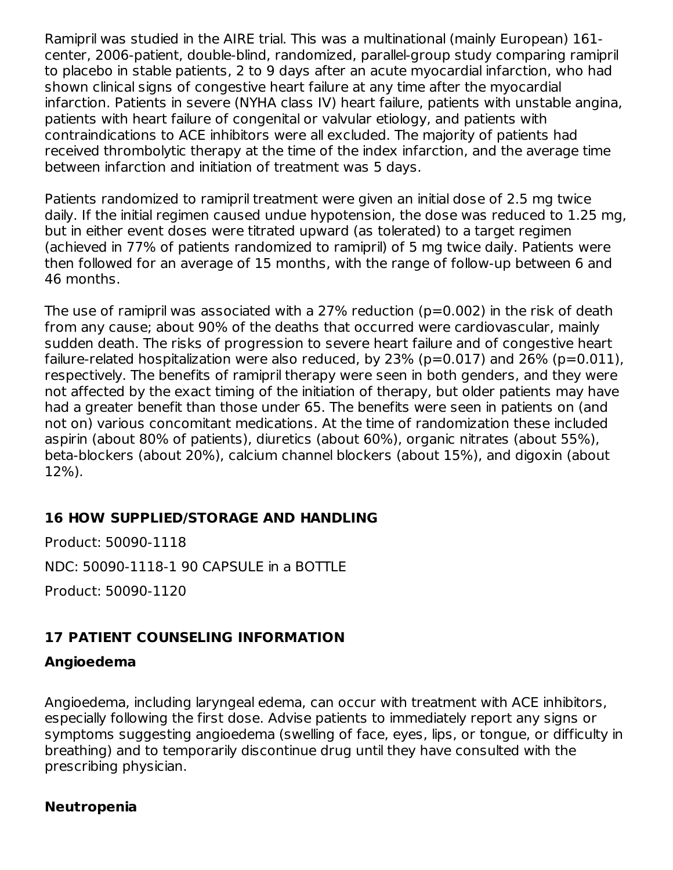Ramipril was studied in the AIRE trial. This was a multinational (mainly European) 161 center, 2006-patient, double-blind, randomized, parallel-group study comparing ramipril to placebo in stable patients, 2 to 9 days after an acute myocardial infarction, who had shown clinical signs of congestive heart failure at any time after the myocardial infarction. Patients in severe (NYHA class IV) heart failure, patients with unstable angina, patients with heart failure of congenital or valvular etiology, and patients with contraindications to ACE inhibitors were all excluded. The majority of patients had received thrombolytic therapy at the time of the index infarction, and the average time between infarction and initiation of treatment was 5 days.

Patients randomized to ramipril treatment were given an initial dose of 2.5 mg twice daily. If the initial regimen caused undue hypotension, the dose was reduced to 1.25 mg, but in either event doses were titrated upward (as tolerated) to a target regimen (achieved in 77% of patients randomized to ramipril) of 5 mg twice daily. Patients were then followed for an average of 15 months, with the range of follow-up between 6 and 46 months.

The use of ramipril was associated with a 27% reduction (p=0.002) in the risk of death from any cause; about 90% of the deaths that occurred were cardiovascular, mainly sudden death. The risks of progression to severe heart failure and of congestive heart failure-related hospitalization were also reduced, by  $23\%$  (p=0.017) and  $26\%$  (p=0.011), respectively. The benefits of ramipril therapy were seen in both genders, and they were not affected by the exact timing of the initiation of therapy, but older patients may have had a greater benefit than those under 65. The benefits were seen in patients on (and not on) various concomitant medications. At the time of randomization these included aspirin (about 80% of patients), diuretics (about 60%), organic nitrates (about 55%), beta-blockers (about 20%), calcium channel blockers (about 15%), and digoxin (about 12%).

#### **16 HOW SUPPLIED/STORAGE AND HANDLING**

Product: 50090-1118

NDC: 50090-1118-1 90 CAPSULE in a BOTTLE

Product: 50090-1120

### **17 PATIENT COUNSELING INFORMATION**

### **Angioedema**

Angioedema, including laryngeal edema, can occur with treatment with ACE inhibitors, especially following the first dose. Advise patients to immediately report any signs or symptoms suggesting angioedema (swelling of face, eyes, lips, or tongue, or difficulty in breathing) and to temporarily discontinue drug until they have consulted with the prescribing physician.

#### **Neutropenia**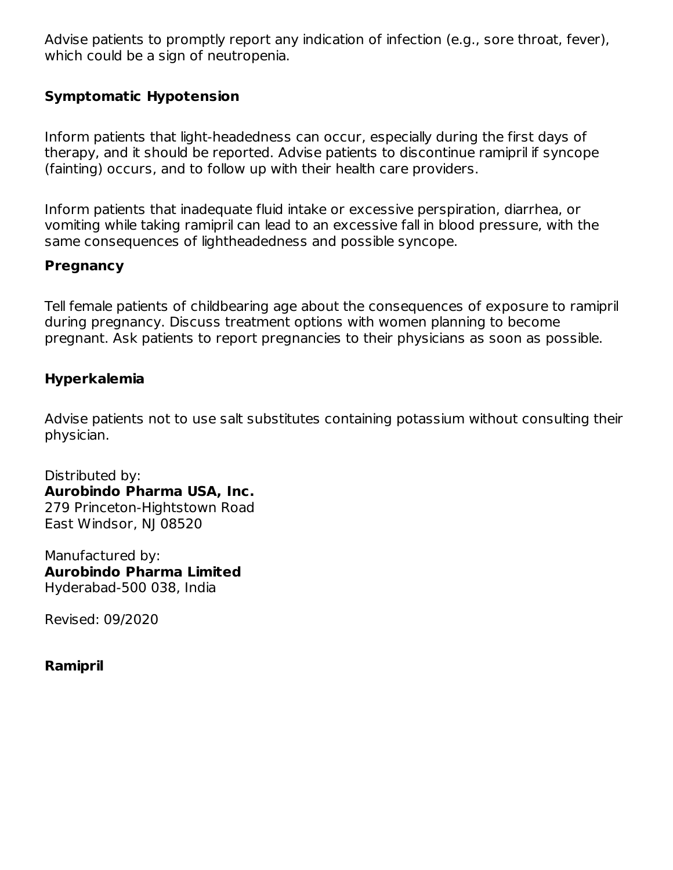Advise patients to promptly report any indication of infection (e.g., sore throat, fever), which could be a sign of neutropenia.

### **Symptomatic Hypotension**

Inform patients that light-headedness can occur, especially during the first days of therapy, and it should be reported. Advise patients to discontinue ramipril if syncope (fainting) occurs, and to follow up with their health care providers.

Inform patients that inadequate fluid intake or excessive perspiration, diarrhea, or vomiting while taking ramipril can lead to an excessive fall in blood pressure, with the same consequences of lightheadedness and possible syncope.

#### **Pregnancy**

Tell female patients of childbearing age about the consequences of exposure to ramipril during pregnancy. Discuss treatment options with women planning to become pregnant. Ask patients to report pregnancies to their physicians as soon as possible.

#### **Hyperkalemia**

Advise patients not to use salt substitutes containing potassium without consulting their physician.

Distributed by: **Aurobindo Pharma USA, Inc.** 279 Princeton-Hightstown Road East Windsor, NJ 08520

Manufactured by: **Aurobindo Pharma Limited** Hyderabad-500 038, India

Revised: 09/2020

#### **Ramipril**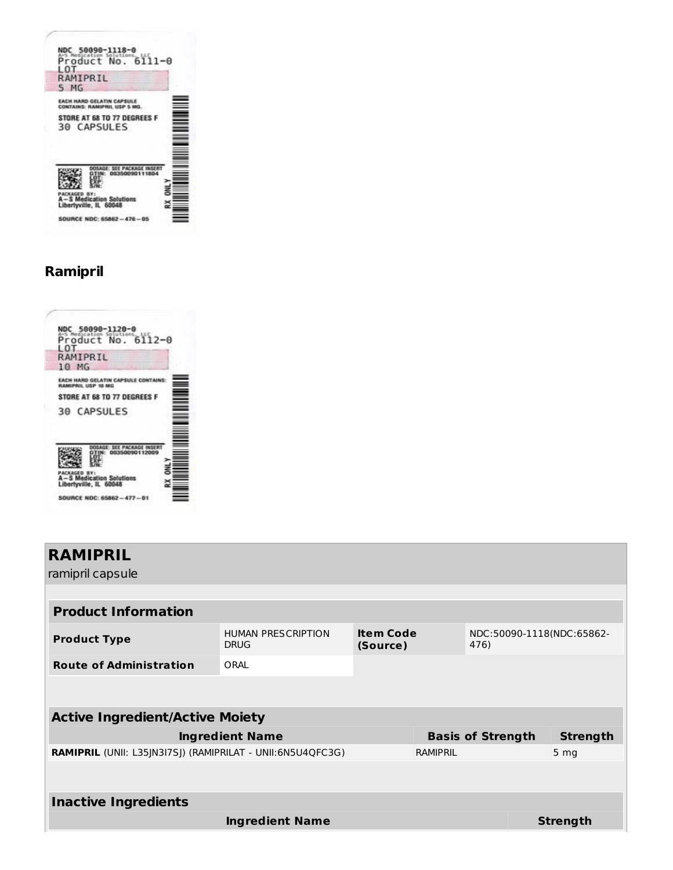# **Ramipril**

|                | NDC 50090-1120-0<br>Product No. 6112-0                         |  |  |
|----------------|----------------------------------------------------------------|--|--|
| L O.T          | RAMIPRIL                                                       |  |  |
|                | 10 <sub>MG</sub>                                               |  |  |
|                | <b>FACH HARD GELATIN CAPSULE CONTAIN</b><br>RAMIPRIL USP 10 MG |  |  |
|                | STORE AT 68 TO 77 DEGREES F                                    |  |  |
|                | <b>30 CAPSULES</b>                                             |  |  |
|                |                                                                |  |  |
| <b>ACKAGED</b> | A-S Medication Solutions<br>Libertyville, IL 60048             |  |  |
|                | SOURCE NDC: 65862-477-01                                       |  |  |

| <b>RAMIPRIL</b><br>ramipril capsule                        |                                          |                              |          |                                   |                 |
|------------------------------------------------------------|------------------------------------------|------------------------------|----------|-----------------------------------|-----------------|
|                                                            |                                          |                              |          |                                   |                 |
| <b>Product Information</b>                                 |                                          |                              |          |                                   |                 |
| <b>Product Type</b>                                        | <b>HUMAN PRESCRIPTION</b><br><b>DRUG</b> | <b>Item Code</b><br>(Source) |          | NDC:50090-1118(NDC:65862-<br>476) |                 |
| <b>Route of Administration</b>                             | ORAI                                     |                              |          |                                   |                 |
|                                                            |                                          |                              |          |                                   |                 |
| <b>Active Ingredient/Active Moiety</b>                     |                                          |                              |          |                                   |                 |
|                                                            | <b>Ingredient Name</b>                   |                              |          | <b>Basis of Strength</b>          | <b>Strength</b> |
| RAMIPRIL (UNII: L35JN3I7SJ) (RAMIPRILAT - UNII:6N5U4QFC3G) |                                          |                              | RAMIPRIL |                                   | 5 <sub>mg</sub> |
|                                                            |                                          |                              |          |                                   |                 |
| <b>Inactive Ingredients</b>                                |                                          |                              |          |                                   |                 |
|                                                            | <b>Ingredient Name</b>                   |                              |          |                                   | <b>Strength</b> |
|                                                            |                                          |                              |          |                                   |                 |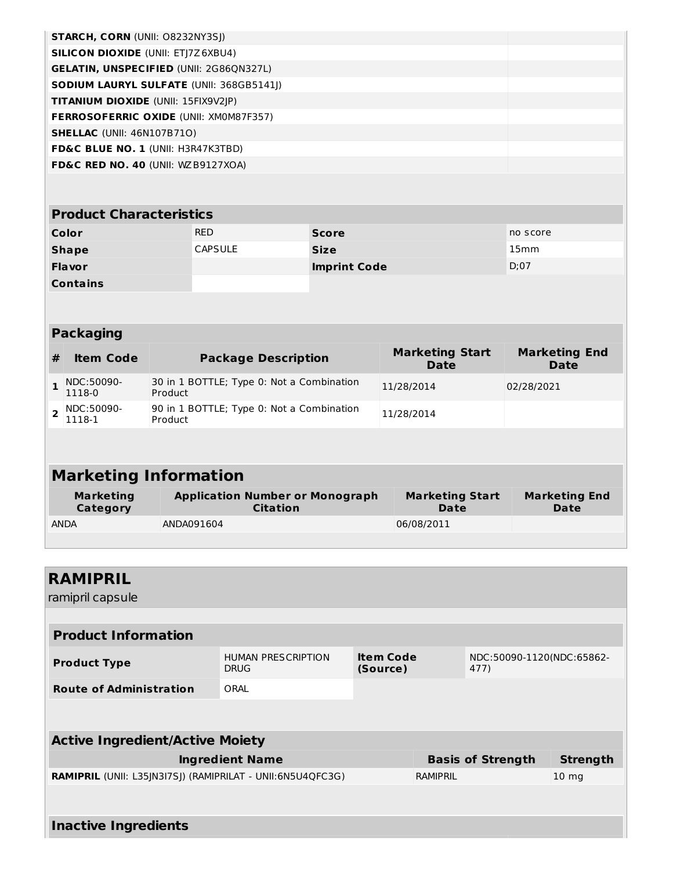| <b>STARCH, CORN (UNII: O8232NY3SJ)</b>          |  |
|-------------------------------------------------|--|
| <b>SILICON DIOXIDE (UNII: ETJ7Z6XBU4)</b>       |  |
| <b>GELATIN, UNSPECIFIED (UNII: 2G86QN327L)</b>  |  |
| <b>SODIUM LAURYL SULFATE (UNII: 368GB5141))</b> |  |
| <b>TITANIUM DIOXIDE</b> (UNII: 15FIX9V2JP)      |  |
| <b>FERROSOFERRIC OXIDE (UNII: XM0M87F357)</b>   |  |
| <b>SHELLAC</b> (UNII: 46N107B71O)               |  |
| <b>FD&amp;C BLUE NO. 1 (UNII: H3R47K3TBD)</b>   |  |
| <b>FD&amp;C RED NO. 40 (UNII: WZ B9127XOA)</b>  |  |

| <b>Product Characteristics</b> |                |                     |          |  |  |  |
|--------------------------------|----------------|---------------------|----------|--|--|--|
| Color                          | <b>RED</b>     | <b>Score</b>        | no score |  |  |  |
| <b>Shape</b>                   | <b>CAPSULE</b> | <b>Size</b>         | 15mm     |  |  |  |
| <b>Flavor</b>                  |                | <b>Imprint Code</b> | D:07     |  |  |  |
| <b>Contains</b>                |                |                     |          |  |  |  |

|   | <b>Packaging</b>       |                                                      |                                |                              |
|---|------------------------|------------------------------------------------------|--------------------------------|------------------------------|
| # | <b>Item Code</b>       | <b>Package Description</b>                           | <b>Marketing Start</b><br>Date | <b>Marketing End</b><br>Date |
|   | NDC:50090-<br>1118-0   | 30 in 1 BOTTLE; Type 0: Not a Combination<br>Product | 11/28/2014                     | 02/28/2021                   |
|   | 2 NDC:50090-<br>1118-1 | 90 in 1 BOTTLE; Type 0: Not a Combination<br>Product | 11/28/2014                     |                              |
|   |                        |                                                      |                                |                              |

# **Marketing Information**

| Marketing   | <b>Application Number or Monograph</b> | <b>Marketing Start</b> | <b>Marketing End</b> |
|-------------|----------------------------------------|------------------------|----------------------|
| Category    | <b>Citation</b>                        | Date                   | Date                 |
| <b>ANDA</b> | ANDA091604                             | 06/08/2011             |                      |

| <b>RAMIPRIL</b>                                                   |                                          |                              |          |                                   |                  |
|-------------------------------------------------------------------|------------------------------------------|------------------------------|----------|-----------------------------------|------------------|
| ramipril capsule                                                  |                                          |                              |          |                                   |                  |
|                                                                   |                                          |                              |          |                                   |                  |
| <b>Product Information</b>                                        |                                          |                              |          |                                   |                  |
| <b>Product Type</b>                                               | <b>HUMAN PRESCRIPTION</b><br><b>DRUG</b> | <b>Item Code</b><br>(Source) |          | NDC:50090-1120(NDC:65862-<br>477) |                  |
| <b>Route of Administration</b>                                    | ORAL                                     |                              |          |                                   |                  |
|                                                                   |                                          |                              |          |                                   |                  |
|                                                                   |                                          |                              |          |                                   |                  |
| <b>Active Ingredient/Active Moiety</b>                            |                                          |                              |          |                                   |                  |
|                                                                   | <b>Ingredient Name</b>                   |                              |          | <b>Basis of Strength</b>          | <b>Strength</b>  |
| <b>RAMIPRIL</b> (UNII: L35JN3I7SJ) (RAMIPRILAT - UNII:6N5U4QFC3G) |                                          |                              | RAMIPRIL |                                   | 10 <sub>mg</sub> |
|                                                                   |                                          |                              |          |                                   |                  |
| <b>Inactive Ingredients</b>                                       |                                          |                              |          |                                   |                  |